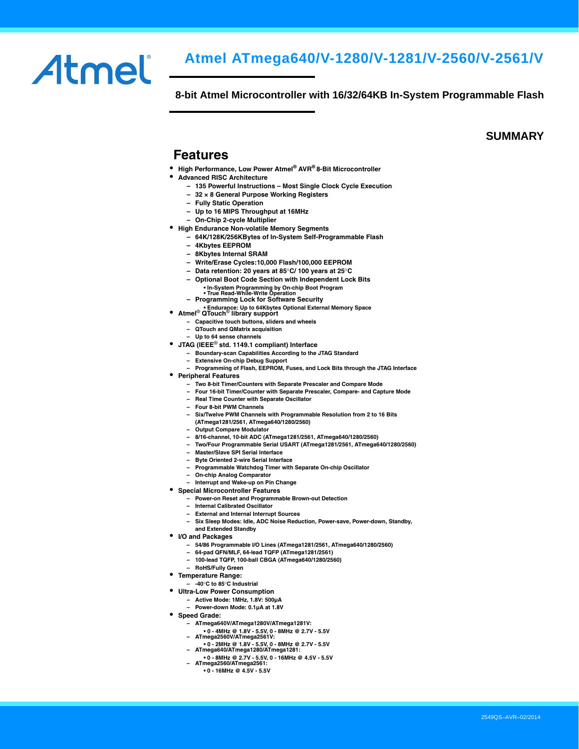

# **Atmel ATmega640/V-1280/V-1281/V-2560/V-2561/V**

**8-bit Atmel Microcontroller with 16/32/64KB In-System Programmable Flash**

**SUMMARY**

## **Features**

- **High Performance, Low Power Atmel® AVR® 8-Bit Microcontroller**
- **Advanced RISC Architecture**
	- **135 Powerful Instructions Most Single Clock Cycle Execution**
	- **32 × 8 General Purpose Working Registers**
	- **Fully Static Operation**
	- **Up to 16 MIPS Throughput at 16MHz**
	- **On-Chip 2-cycle Multiplier**
- **High Endurance Non-volatile Memory Segments**
	- **64K/128K/256KBytes of In-System Self-Programmable Flash**
	- **4Kbytes EEPROM**
	- **8Kbytes Internal SRAM**
	- **Write/Erase Cycles:10,000 Flash/100,000 EEPROM**
	- **Data retention: 20 years at 85C/ 100 years at 25C**
	- **Optional Boot Code Section with Independent Lock Bits**
		- **In-System Programming by On-chip Boot Program True Read-While-Write Operation**
	- **Programming Lock for Software Security**
- **Endurance: Up to 64Kbytes Optional External Memory Space Atmel**® **QTouch**® **library support**
	- **Capacitive touch buttons, sliders and wheels**
	- **QTouch and QMatrix acquisition**
	- **Up to 64 sense channels**
- **JTAG (IEEE**® **std. 1149.1 compliant) Interface**
	- **Boundary-scan Capabilities According to the JTAG Standard**
	- **Extensive On-chip Debug Support**
	- **Programming of Flash, EEPROM, Fuses, and Lock Bits through the JTAG Interface**
- **Peripheral Features**
	- **Two 8-bit Timer/Counters with Separate Prescaler and Compare Mode**
	- **Four 16-bit Timer/Counter with Separate Prescaler, Compare- and Capture Mode**
	- **Real Time Counter with Separate Oscillator**
	- **Four 8-bit PWM Channels**
	- **Six/Twelve PWM Channels with Programmable Resolution from 2 to 16 Bits**
	- **(ATmega1281/2561, ATmega640/1280/2560)**
	- **Output Compare Modulator**
	- **8/16-channel, 10-bit ADC (ATmega1281/2561, ATmega640/1280/2560)**
	- **Two/Four Programmable Serial USART (ATmega1281/2561, ATmega640/1280/2560)**
	- **Master/Slave SPI Serial Interface**
	- **Byte Oriented 2-wire Serial Interface**
	- **Programmable Watchdog Timer with Separate On-chip Oscillator**
	- **On-chip Analog Comparator**
	- **Interrupt and Wake-up on Pin Change**
- **Special Microcontroller Features**
	- **Power-on Reset and Programmable Brown-out Detection**
	- **Internal Calibrated Oscillator**
	- **External and Internal Interrupt Sources**
	- **Six Sleep Modes: Idle, ADC Noise Reduction, Power-save, Power-down, Standby, and Extended Standby**
- **I/O and Packages**
	- **54/86 Programmable I/O Lines (ATmega1281/2561, ATmega640/1280/2560)**
	- **64-pad QFN/MLF, 64-lead TQFP (ATmega1281/2561)**
	- **100-lead TQFP, 100-ball CBGA (ATmega640/1280/2560)**
	- **RoHS/Fully Green**
- **Temperature Range:**
	- **-40C to 85C Industrial**
- **Ultra-Low Power Consumption**
	- **Active Mode: 1MHz, 1.8V: 500µA**
	- **Power-down Mode: 0.1µA at 1.8V**
- **Speed Grade:**
	- **ATmega640V/ATmega1280V/ATmega1281V:**
	- **0 4MHz @ 1.8V 5.5V, 0 8MHz @ 2.7V 5.5V ATmega2560V/ATmega2561V:**
	-
	- **0 2MHz @ 1.8V 5.5V, 0 8MHz @ 2.7V 5.5V ATmega640/ATmega1280/ATmega1281:**
	- **0 8MHz @ 2.7V 5.5V, 0 16MHz @ 4.5V 5.5V**
	- **ATmega2560/ATmega2561: • 0 - 16MHz @ 4.5V - 5.5V**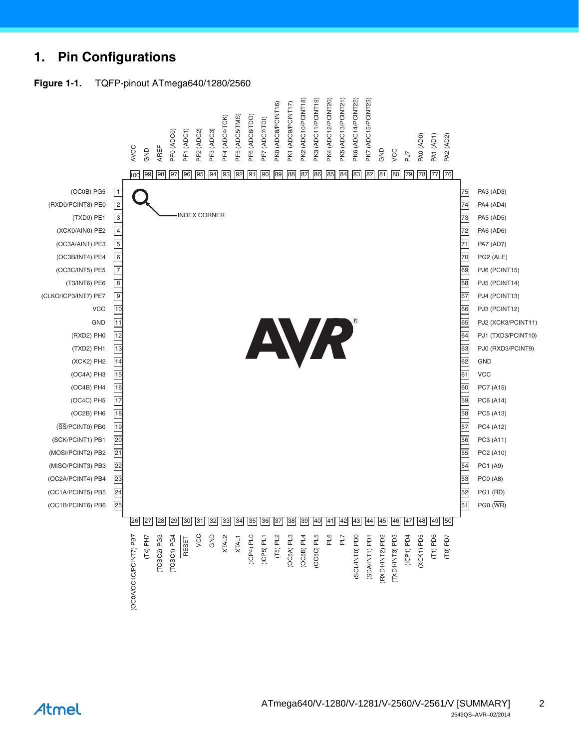# **1. Pin Configurations**

<span id="page-1-0"></span>

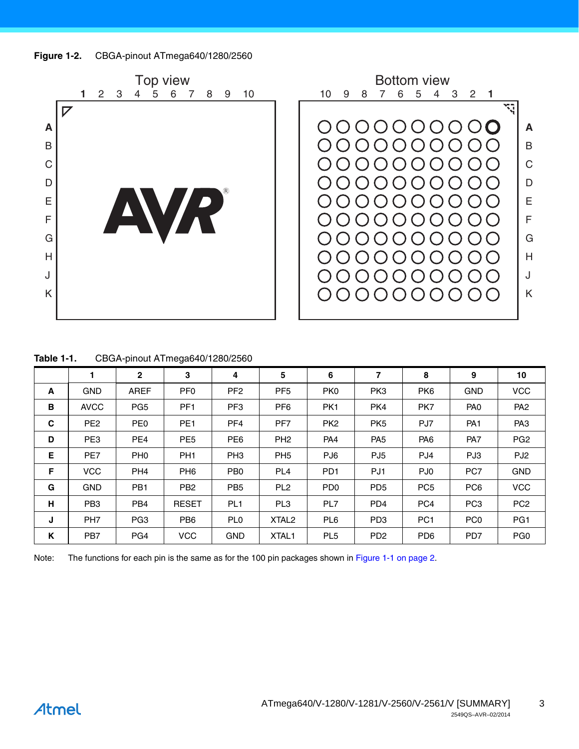**Figure 1-2.** CBGA-pinout ATmega640/1280/2560





**Table 1-1.** CBGA-pinout ATmega640/1280/2560

|   |                 | $\mathbf{2}$    | 3               | 4               | 5                 | 6               | 7               | 8               | 9               | 10              |
|---|-----------------|-----------------|-----------------|-----------------|-------------------|-----------------|-----------------|-----------------|-----------------|-----------------|
| A | <b>GND</b>      | <b>AREF</b>     | PF <sub>0</sub> | PF <sub>2</sub> | PF <sub>5</sub>   | PK <sub>0</sub> | PK <sub>3</sub> | PK <sub>6</sub> | <b>GND</b>      | <b>VCC</b>      |
| B | <b>AVCC</b>     | PG <sub>5</sub> | PF <sub>1</sub> | PF <sub>3</sub> | PF <sub>6</sub>   | PK <sub>1</sub> | PK4             | PK7             | PA <sub>0</sub> | PA <sub>2</sub> |
| C | PE <sub>2</sub> | PE <sub>0</sub> | PE <sub>1</sub> | PF <sub>4</sub> | PF7               | PK <sub>2</sub> | PK <sub>5</sub> | PJ7             | PA <sub>1</sub> | PA <sub>3</sub> |
| D | PE <sub>3</sub> | PE4             | PE <sub>5</sub> | PE <sub>6</sub> | PH <sub>2</sub>   | PA4             | PA <sub>5</sub> | PA <sub>6</sub> | PA7             | PG <sub>2</sub> |
| Е | PE7             | PH <sub>0</sub> | PH <sub>1</sub> | PH <sub>3</sub> | PH <sub>5</sub>   | PJ <sub>6</sub> | PJ <sub>5</sub> | PJ4             | PJ3             | PJ <sub>2</sub> |
| F | <b>VCC</b>      | PH <sub>4</sub> | PH <sub>6</sub> | PB <sub>0</sub> | PL <sub>4</sub>   | PD <sub>1</sub> | PJ <sub>1</sub> | PJ0             | PC7             | <b>GND</b>      |
| G | <b>GND</b>      | PB <sub>1</sub> | PB <sub>2</sub> | PB <sub>5</sub> | PL <sub>2</sub>   | PD <sub>0</sub> | PD <sub>5</sub> | PC <sub>5</sub> | PC <sub>6</sub> | <b>VCC</b>      |
| н | PB <sub>3</sub> | PB <sub>4</sub> | <b>RESET</b>    | PL <sub>1</sub> | PL <sub>3</sub>   | PL7             | PD <sub>4</sub> | PC4             | PC <sub>3</sub> | PC <sub>2</sub> |
| J | PH <sub>7</sub> | PG <sub>3</sub> | PB <sub>6</sub> | PL <sub>0</sub> | XTAL <sub>2</sub> | PL6             | PD <sub>3</sub> | PC <sub>1</sub> | PC <sub>0</sub> | PG1             |
| K | PB7             | PG4             | <b>VCC</b>      | <b>GND</b>      | XTAL1             | PL <sub>5</sub> | PD <sub>2</sub> | PD <sub>6</sub> | PD7             | PG <sub>0</sub> |

Note: The functions for each pin is the same as for the 100 pin packages shown in [Figure 1-1 on page 2.](#page-1-0)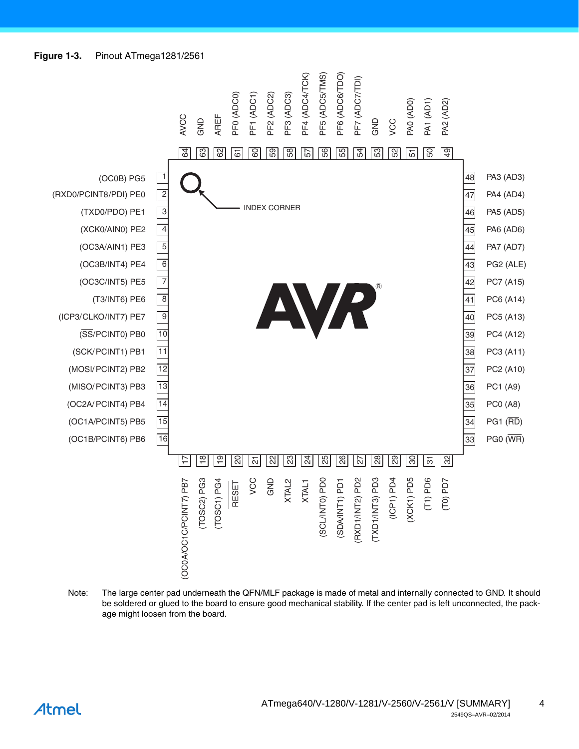

Note: The large center pad underneath the QFN/MLF package is made of metal and internally connected to GND. It should be soldered or glued to the board to ensure good mechanical stability. If the center pad is left unconnected, the package might loosen from the board.

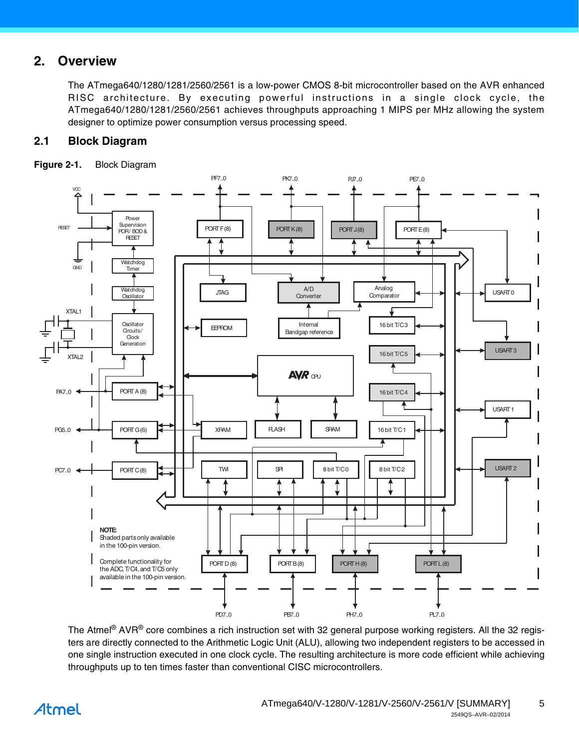# **2. Overview**

The ATmega640/1280/1281/2560/2561 is a low-power CMOS 8-bit microcontroller based on the AVR enhanced RISC architecture. By executing powerful instructions in a single clock cycle, the ATmega640/1280/1281/2560/2561 achieves throughputs approaching 1 MIPS per MHz allowing the system designer to optimize power consumption versus processing speed.

## **2.1 Block Diagram**





The Atmel<sup>®</sup> AVR<sup>®</sup> core combines a rich instruction set with 32 general purpose working registers. All the 32 registers are directly connected to the Arithmetic Logic Unit (ALU), allowing two independent registers to be accessed in one single instruction executed in one clock cycle. The resulting architecture is more code efficient while achieving throughputs up to ten times faster than conventional CISC microcontrollers.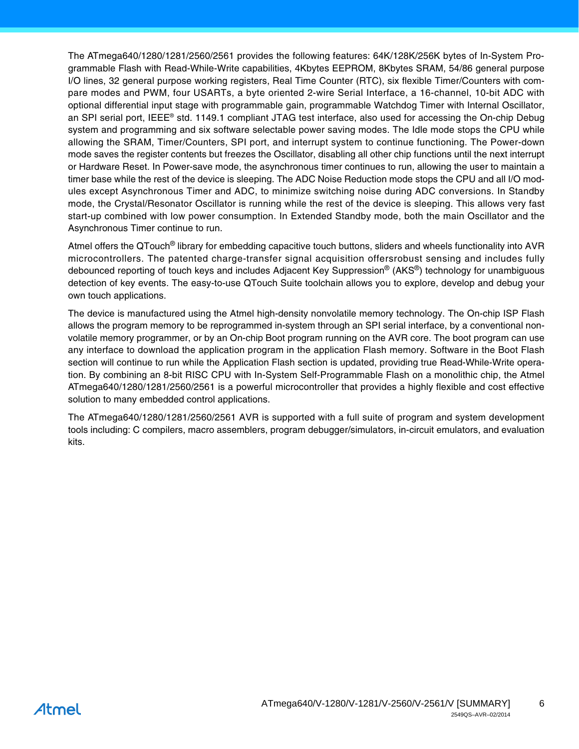The ATmega640/1280/1281/2560/2561 provides the following features: 64K/128K/256K bytes of In-System Programmable Flash with Read-While-Write capabilities, 4Kbytes EEPROM, 8Kbytes SRAM, 54/86 general purpose I/O lines, 32 general purpose working registers, Real Time Counter (RTC), six flexible Timer/Counters with compare modes and PWM, four USARTs, a byte oriented 2-wire Serial Interface, a 16-channel, 10-bit ADC with optional differential input stage with programmable gain, programmable Watchdog Timer with Internal Oscillator, an SPI serial port, IEEE® std. 1149.1 compliant JTAG test interface, also used for accessing the On-chip Debug system and programming and six software selectable power saving modes. The Idle mode stops the CPU while allowing the SRAM, Timer/Counters, SPI port, and interrupt system to continue functioning. The Power-down mode saves the register contents but freezes the Oscillator, disabling all other chip functions until the next interrupt or Hardware Reset. In Power-save mode, the asynchronous timer continues to run, allowing the user to maintain a timer base while the rest of the device is sleeping. The ADC Noise Reduction mode stops the CPU and all I/O modules except Asynchronous Timer and ADC, to minimize switching noise during ADC conversions. In Standby mode, the Crystal/Resonator Oscillator is running while the rest of the device is sleeping. This allows very fast start-up combined with low power consumption. In Extended Standby mode, both the main Oscillator and the Asynchronous Timer continue to run.

Atmel offers the QTouch® library for embedding capacitive touch buttons, sliders and wheels functionality into AVR microcontrollers. The patented charge-transfer signal acquisition offersrobust sensing and includes fully debounced reporting of touch keys and includes Adjacent Key Suppression® (AKS®) technology for unambiguous detection of key events. The easy-to-use QTouch Suite toolchain allows you to explore, develop and debug your own touch applications.

The device is manufactured using the Atmel high-density nonvolatile memory technology. The On-chip ISP Flash allows the program memory to be reprogrammed in-system through an SPI serial interface, by a conventional nonvolatile memory programmer, or by an On-chip Boot program running on the AVR core. The boot program can use any interface to download the application program in the application Flash memory. Software in the Boot Flash section will continue to run while the Application Flash section is updated, providing true Read-While-Write operation. By combining an 8-bit RISC CPU with In-System Self-Programmable Flash on a monolithic chip, the Atmel ATmega640/1280/1281/2560/2561 is a powerful microcontroller that provides a highly flexible and cost effective solution to many embedded control applications.

The ATmega640/1280/1281/2560/2561 AVR is supported with a full suite of program and system development tools including: C compilers, macro assemblers, program debugger/simulators, in-circuit emulators, and evaluation kits.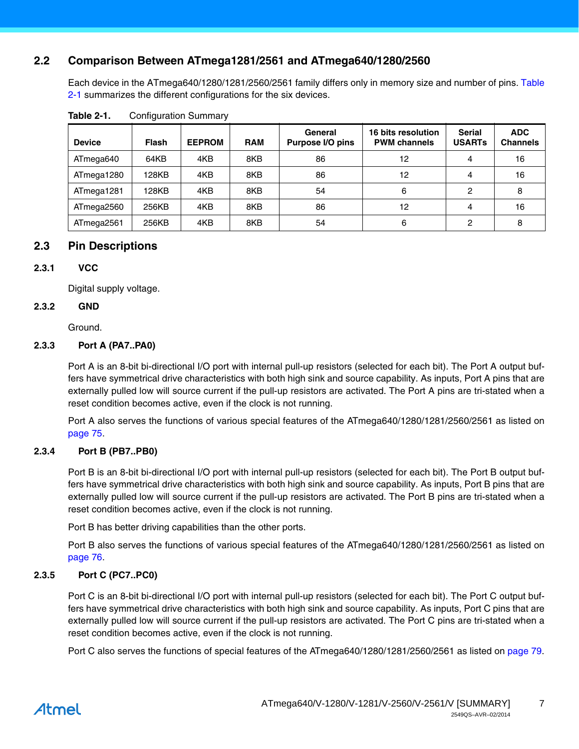## **2.2 Comparison Between ATmega1281/2561 and ATmega640/1280/2560**

Each device in the ATmega640/1280/1281/2560/2561 family differs only in memory size and number of pins. [Table](#page-6-0) [2-1](#page-6-0) summarizes the different configurations for the six devices.

| <b>Device</b> | Flash | <b>EEPROM</b> | <b>RAM</b> | General<br>Purpose I/O pins | 16 bits resolution<br><b>PWM</b> channels | <b>Serial</b><br><b>USARTS</b> | <b>ADC</b><br><b>Channels</b> |
|---------------|-------|---------------|------------|-----------------------------|-------------------------------------------|--------------------------------|-------------------------------|
| ATmega640     | 64KB  | 4KB           | 8KB        | 86                          | 12                                        | 4                              | 16                            |
| ATmega1280    | 128KB | 4KB           | 8KB        | 86                          | 12                                        | 4                              | 16                            |
| ATmega1281    | 128KB | 4KB           | 8KB        | 54                          | 6                                         | $\mathfrak{p}$                 | 8                             |
| ATmega2560    | 256KB | 4KB           | 8KB        | 86                          | 12                                        | 4                              | 16                            |
| ATmega2561    | 256KB | 4KB           | 8KB        | 54                          | 6                                         | ◠                              | 8                             |

<span id="page-6-0"></span>

| Table 2-1. | <b>Configuration Summary</b> |  |
|------------|------------------------------|--|
|            |                              |  |

## **2.3 Pin Descriptions**

#### **2.3.1 VCC**

Digital supply voltage.

### **2.3.2 GND**

Ground.

### **2.3.3 Port A (PA7..PA0)**

Port A is an 8-bit bi-directional I/O port with internal pull-up resistors (selected for each bit). The Port A output buffers have symmetrical drive characteristics with both high sink and source capability. As inputs, Port A pins that are externally pulled low will source current if the pull-up resistors are activated. The Port A pins are tri-stated when a reset condition becomes active, even if the clock is not running.

Port A also serves the functions of various special features of the ATmega640/1280/1281/2560/2561 as listed on page 75.

#### **2.3.4 Port B (PB7..PB0)**

Port B is an 8-bit bi-directional I/O port with internal pull-up resistors (selected for each bit). The Port B output buffers have symmetrical drive characteristics with both high sink and source capability. As inputs, Port B pins that are externally pulled low will source current if the pull-up resistors are activated. The Port B pins are tri-stated when a reset condition becomes active, even if the clock is not running.

Port B has better driving capabilities than the other ports.

Port B also serves the functions of various special features of the ATmega640/1280/1281/2560/2561 as listed on page 76.

#### **2.3.5 Port C (PC7..PC0)**

Port C is an 8-bit bi-directional I/O port with internal pull-up resistors (selected for each bit). The Port C output buffers have symmetrical drive characteristics with both high sink and source capability. As inputs, Port C pins that are externally pulled low will source current if the pull-up resistors are activated. The Port C pins are tri-stated when a reset condition becomes active, even if the clock is not running.

Port C also serves the functions of special features of the ATmega640/1280/1281/2560/2561 as listed on page 79.

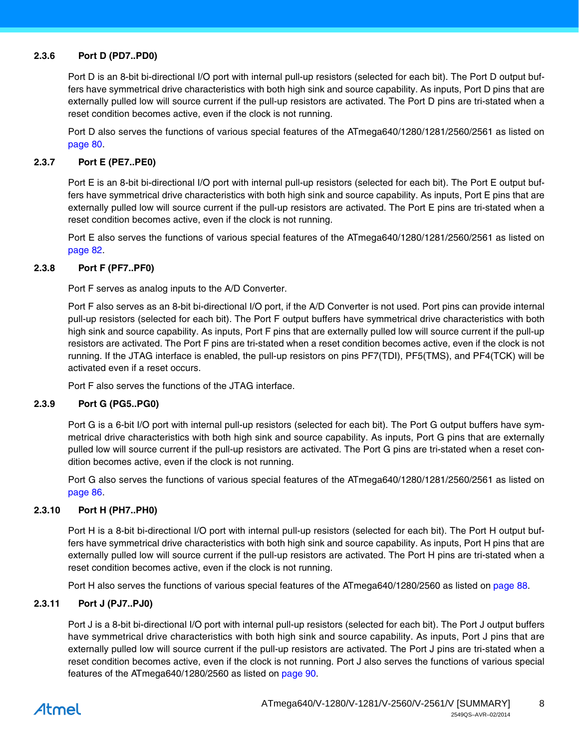#### **2.3.6 Port D (PD7..PD0)**

Port D is an 8-bit bi-directional I/O port with internal pull-up resistors (selected for each bit). The Port D output buffers have symmetrical drive characteristics with both high sink and source capability. As inputs, Port D pins that are externally pulled low will source current if the pull-up resistors are activated. The Port D pins are tri-stated when a reset condition becomes active, even if the clock is not running.

Port D also serves the functions of various special features of the ATmega640/1280/1281/2560/2561 as listed on page 80.

#### **2.3.7 Port E (PE7..PE0)**

Port E is an 8-bit bi-directional I/O port with internal pull-up resistors (selected for each bit). The Port E output buffers have symmetrical drive characteristics with both high sink and source capability. As inputs, Port E pins that are externally pulled low will source current if the pull-up resistors are activated. The Port E pins are tri-stated when a reset condition becomes active, even if the clock is not running.

Port E also serves the functions of various special features of the ATmega640/1280/1281/2560/2561 as listed on page 82.

#### **2.3.8 Port F (PF7..PF0)**

Port F serves as analog inputs to the A/D Converter.

Port F also serves as an 8-bit bi-directional I/O port, if the A/D Converter is not used. Port pins can provide internal pull-up resistors (selected for each bit). The Port F output buffers have symmetrical drive characteristics with both high sink and source capability. As inputs, Port F pins that are externally pulled low will source current if the pull-up resistors are activated. The Port F pins are tri-stated when a reset condition becomes active, even if the clock is not running. If the JTAG interface is enabled, the pull-up resistors on pins PF7(TDI), PF5(TMS), and PF4(TCK) will be activated even if a reset occurs.

Port F also serves the functions of the JTAG interface.

#### **2.3.9 Port G (PG5..PG0)**

Port G is a 6-bit I/O port with internal pull-up resistors (selected for each bit). The Port G output buffers have symmetrical drive characteristics with both high sink and source capability. As inputs, Port G pins that are externally pulled low will source current if the pull-up resistors are activated. The Port G pins are tri-stated when a reset condition becomes active, even if the clock is not running.

Port G also serves the functions of various special features of the ATmega640/1280/1281/2560/2561 as listed on page 86.

#### **2.3.10 Port H (PH7..PH0)**

Port H is a 8-bit bi-directional I/O port with internal pull-up resistors (selected for each bit). The Port H output buffers have symmetrical drive characteristics with both high sink and source capability. As inputs, Port H pins that are externally pulled low will source current if the pull-up resistors are activated. The Port H pins are tri-stated when a reset condition becomes active, even if the clock is not running.

Port H also serves the functions of various special features of the ATmega640/1280/2560 as listed on page 88.

#### **2.3.11 Port J (PJ7..PJ0)**

Port J is a 8-bit bi-directional I/O port with internal pull-up resistors (selected for each bit). The Port J output buffers have symmetrical drive characteristics with both high sink and source capability. As inputs, Port J pins that are externally pulled low will source current if the pull-up resistors are activated. The Port J pins are tri-stated when a reset condition becomes active, even if the clock is not running. Port J also serves the functions of various special features of the ATmega640/1280/2560 as listed on page 90.

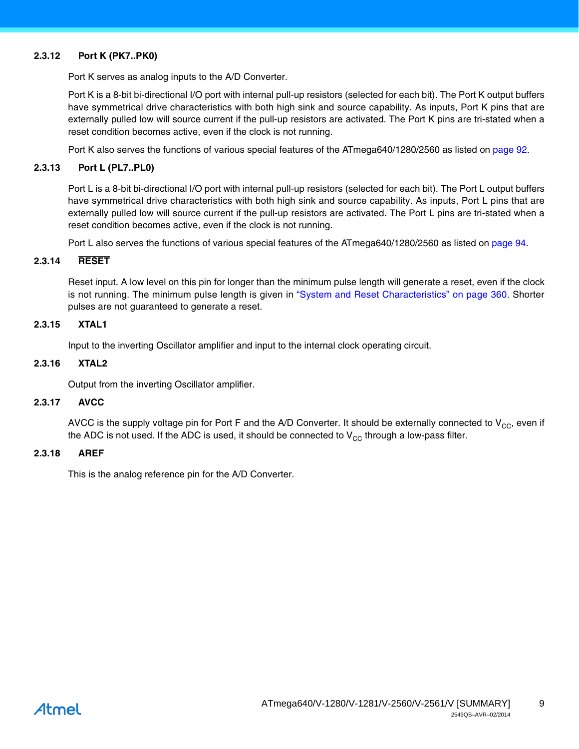#### **2.3.12 Port K (PK7..PK0)**

Port K serves as analog inputs to the A/D Converter.

Port K is a 8-bit bi-directional I/O port with internal pull-up resistors (selected for each bit). The Port K output buffers have symmetrical drive characteristics with both high sink and source capability. As inputs, Port K pins that are externally pulled low will source current if the pull-up resistors are activated. The Port K pins are tri-stated when a reset condition becomes active, even if the clock is not running.

Port K also serves the functions of various special features of the ATmega640/1280/2560 as listed on page 92.

#### **2.3.13 Port L (PL7..PL0)**

Port L is a 8-bit bi-directional I/O port with internal pull-up resistors (selected for each bit). The Port L output buffers have symmetrical drive characteristics with both high sink and source capability. As inputs, Port L pins that are externally pulled low will source current if the pull-up resistors are activated. The Port L pins are tri-stated when a reset condition becomes active, even if the clock is not running.

Port L also serves the functions of various special features of the ATmega640/1280/2560 as listed on page 94.

#### **2.3.14 RESET**

Reset input. A low level on this pin for longer than the minimum pulse length will generate a reset, even if the clock is not running. The minimum pulse length is given in "System and Reset Characteristics" on page 360. Shorter pulses are not guaranteed to generate a reset.

#### **2.3.15 XTAL1**

Input to the inverting Oscillator amplifier and input to the internal clock operating circuit.

#### **2.3.16 XTAL2**

Output from the inverting Oscillator amplifier.

#### **2.3.17 AVCC**

AVCC is the supply voltage pin for Port F and the A/D Converter. It should be externally connected to  $V_{CC}$ , even if the ADC is not used. If the ADC is used, it should be connected to  $V_{CC}$  through a low-pass filter.

#### **2.3.18 AREF**

This is the analog reference pin for the A/D Converter.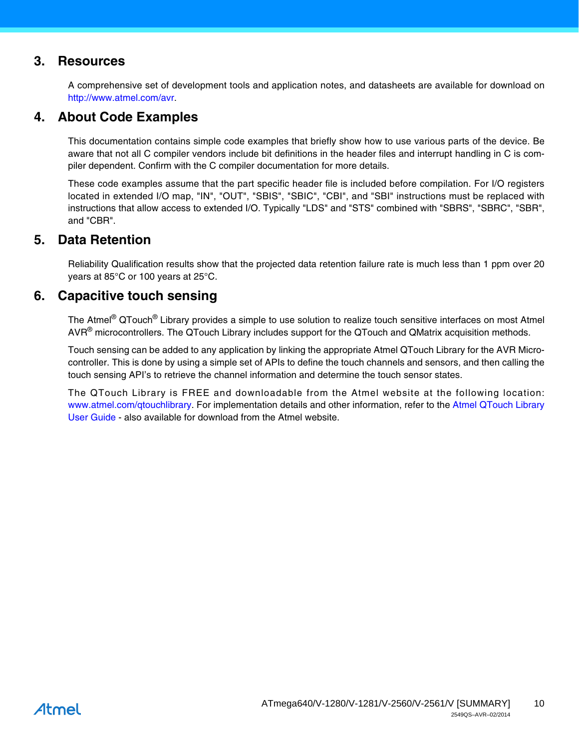# **3. Resources**

A comprehensive set of development tools and application notes, and datasheets are available for download on http://www.atmel.com/avr.

# **4. About Code Examples**

This documentation contains simple code examples that briefly show how to use various parts of the device. Be aware that not all C compiler vendors include bit definitions in the header files and interrupt handling in C is compiler dependent. Confirm with the C compiler documentation for more details.

These code examples assume that the part specific header file is included before compilation. For I/O registers located in extended I/O map, "IN", "OUT", "SBIS", "SBIC", "CBI", and "SBI" instructions must be replaced with instructions that allow access to extended I/O. Typically "LDS" and "STS" combined with "SBRS", "SBRC", "SBR", and "CBR".

## **5. Data Retention**

Reliability Qualification results show that the projected data retention failure rate is much less than 1 ppm over 20 years at 85°C or 100 years at 25°C.

# **6. Capacitive touch sensing**

The Atmel<sup>®</sup> QTouch<sup>®</sup> Library provides a simple to use solution to realize touch sensitive interfaces on most Atmel AVR® microcontrollers. The QTouch Library includes support for the QTouch and QMatrix acquisition methods.

Touch sensing can be added to any application by linking the appropriate Atmel QTouch Library for the AVR Microcontroller. This is done by using a simple set of APIs to define the touch channels and sensors, and then calling the touch sensing API's to retrieve the channel information and determine the touch sensor states.

The QTouch Library is FREE and downloadable from the Atmel website at the following location: <www.atmel.com/qtouchlibrary>. For implementation details and other information, refer to the [Atmel QTouch Library](www.atmel.com/qtouchlibrary) [User Guide](www.atmel.com/qtouchlibrary) - also available for download from the Atmel website.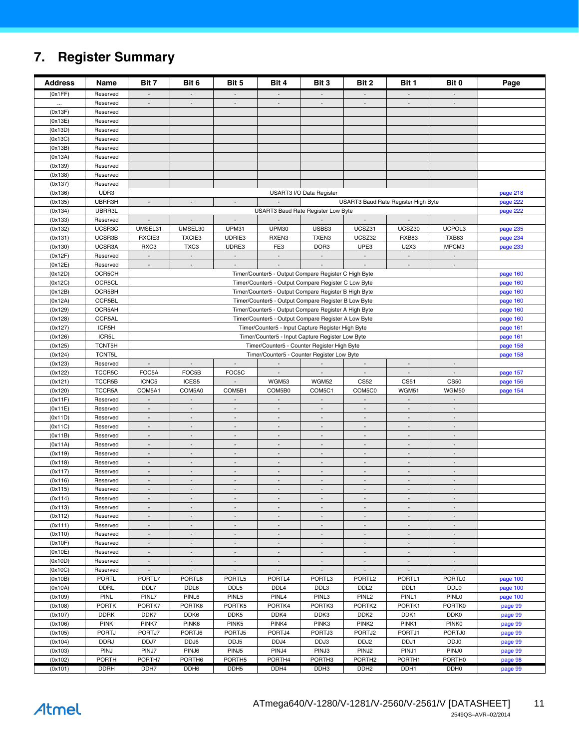# **7. Register Summary**

| <b>Address</b>     | Name                       | Bit 7                                                | Bit 6                     | Bit 5                        | Bit 4                                                | Bit 3                                                                                                    | Bit 2                                 | Bit 1                               | Bit 0                                      | Page                 |
|--------------------|----------------------------|------------------------------------------------------|---------------------------|------------------------------|------------------------------------------------------|----------------------------------------------------------------------------------------------------------|---------------------------------------|-------------------------------------|--------------------------------------------|----------------------|
| (0x1FF)            | Reserved                   |                                                      |                           |                              |                                                      |                                                                                                          |                                       |                                     |                                            |                      |
| $\cdots$           | Reserved                   | $\mathcal{L}$                                        | $\blacksquare$            | $\blacksquare$               | $\overline{a}$                                       | $\overline{a}$                                                                                           | $\overline{a}$                        | $\blacksquare$                      | $\overline{\phantom{a}}$                   |                      |
| (0x13F)            | Reserved                   |                                                      |                           |                              |                                                      |                                                                                                          |                                       |                                     |                                            |                      |
| (0x13E)            | Reserved                   |                                                      |                           |                              |                                                      |                                                                                                          |                                       |                                     |                                            |                      |
| (0x13D)            | Reserved                   |                                                      |                           |                              |                                                      |                                                                                                          |                                       |                                     |                                            |                      |
| (0x13C)            | Reserved                   |                                                      |                           |                              |                                                      |                                                                                                          |                                       |                                     |                                            |                      |
| (0x13B)            | Reserved                   |                                                      |                           |                              |                                                      |                                                                                                          |                                       |                                     |                                            |                      |
| (0x13A)            | Reserved                   |                                                      |                           |                              |                                                      |                                                                                                          |                                       |                                     |                                            |                      |
| (0x139)            | Reserved<br>Reserved       |                                                      |                           |                              |                                                      |                                                                                                          |                                       |                                     |                                            |                      |
| (0x138)<br>(0x137) | Reserved                   |                                                      |                           |                              |                                                      |                                                                                                          |                                       |                                     |                                            |                      |
| (0x136)            | UDR3                       |                                                      |                           |                              |                                                      | USART3 I/O Data Register                                                                                 |                                       |                                     |                                            | page 218             |
| (0x135)            | UBRR3H                     | $\sim$                                               | $\blacksquare$            | $\overline{\phantom{a}}$     | $\sim$                                               |                                                                                                          |                                       | USART3 Baud Rate Register High Byte |                                            | page 222             |
| (0x134)            | UBRR3L                     |                                                      |                           |                              |                                                      | USART3 Baud Rate Register Low Byte                                                                       |                                       |                                     |                                            | page 222             |
| (0x133)            | Reserved                   | $\overline{\phantom{a}}$                             | $\overline{\phantom{a}}$  | $\Box$                       |                                                      |                                                                                                          | $\blacksquare$                        |                                     | $\blacksquare$                             |                      |
| (0x132)            | UCSR3C                     | UMSEL31                                              | UMSEL30                   | UPM31                        | UPM30                                                | USBS3                                                                                                    | UCSZ31                                | UCSZ30                              | UCPOL3                                     | page 235             |
| (0x131)            | UCSR3B                     | RXCIE3                                               | <b>TXCIE3</b>             | UDRIE3                       | RXEN3                                                | TXEN3                                                                                                    | UCSZ32                                | RXB83                               | TXB83                                      | page 234             |
| (0x130)            | UCSR3A                     | RXC3                                                 | TXC3                      | UDRE3                        | FE3                                                  | DOR3                                                                                                     | UPE3                                  | U2X3                                | MPCM3                                      | page 233             |
| (0x12F)            | Reserved                   | $\mathbb{Z}^{\mathbb{Z}}$                            | $\mathbb{Z}^{\mathbb{Z}}$ | $\mathbb{Z}^+$               | $\mathcal{L}^{\pm}$                                  | $\mathbb{Z}^{\mathbb{Z}}$                                                                                | $\mathcal{L}_{\mathcal{A}}$           | $\mathbb{Z}^{\mathbb{Z}}$           | $\mathbb{L}$                               |                      |
| (0x12E)            | Reserved                   | $\overline{a}$                                       |                           | $\overline{\phantom{a}}$     |                                                      |                                                                                                          |                                       |                                     | $\blacksquare$                             |                      |
| (0x12D)            | OCR5CH                     |                                                      |                           |                              |                                                      | Timer/Counter5 - Output Compare Register C High Byte                                                     |                                       |                                     |                                            | page 160             |
| (0x12C)            | OCR5CL                     |                                                      |                           |                              |                                                      | Timer/Counter5 - Output Compare Register C Low Byte                                                      |                                       |                                     |                                            | page 160             |
| (0x12B)            | OCR5BH                     |                                                      |                           |                              |                                                      | Timer/Counter5 - Output Compare Register B High Byte                                                     |                                       |                                     |                                            | page 160             |
| (0x12A)            | OCR5BL                     |                                                      |                           |                              |                                                      | Timer/Counter5 - Output Compare Register B Low Byte                                                      |                                       |                                     |                                            | page 160             |
| (0x129)            | OCR5AH                     |                                                      |                           |                              |                                                      | Timer/Counter5 - Output Compare Register A High Byte                                                     |                                       |                                     |                                            | page 160             |
| (0x128)<br>(0x127) | OCR5AL<br>ICR5H            |                                                      |                           |                              |                                                      | Timer/Counter5 - Output Compare Register A Low Byte<br>Timer/Counter5 - Input Capture Register High Byte |                                       |                                     |                                            | page 160             |
| (0x126)            | ICR5L                      |                                                      |                           |                              |                                                      | Timer/Counter5 - Input Capture Register Low Byte                                                         |                                       |                                     |                                            | page 161<br>page 161 |
| (0x125)            | TCNT5H                     |                                                      |                           |                              |                                                      | Timer/Counter5 - Counter Register High Byte                                                              |                                       |                                     |                                            | page 158             |
| (0x124)            | <b>TCNT5L</b>              |                                                      |                           |                              |                                                      | Timer/Counter5 - Counter Register Low Byte                                                               |                                       |                                     |                                            | page 158             |
| (0x123)            | Reserved                   | $\mathbb{Z}^{\mathbb{Z}}$                            | $\mathbb{Z}^+$            | $\blacksquare$               | $\blacksquare$                                       | $\overline{\phantom{a}}$                                                                                 | $\overline{\phantom{a}}$              | $\overline{\phantom{a}}$            | $\overline{\phantom{a}}$                   |                      |
| (0x122)            | TCCR5C                     | FOC5A                                                | FOC5B                     | FOC5C                        | $\overline{\phantom{a}}$                             | $\blacksquare$                                                                                           |                                       | $\overline{\phantom{a}}$            | $\blacksquare$                             | page 157             |
| (0x121)            | TCCR5B                     | ICNC5                                                | ICES5                     | $\overline{a}$               | WGM53                                                | WGM52                                                                                                    | <b>CS52</b>                           | CS51                                | <b>CS50</b>                                | page 156             |
| (0x120)            | TCCR5A                     | COM5A1                                               | COM5A0                    | COM5B1                       | COM5B0                                               | COM5C1                                                                                                   | COM5C0                                | WGM51                               | WGM50                                      | page 154             |
| (0x11F)            | Reserved                   |                                                      |                           |                              |                                                      |                                                                                                          |                                       |                                     |                                            |                      |
| (0x11E)            | Reserved                   | $\sim$                                               | $\overline{\phantom{a}}$  | $\overline{\phantom{a}}$     | $\overline{\phantom{a}}$                             | $\blacksquare$                                                                                           | $\overline{\phantom{a}}$              | $\sim$                              | $\blacksquare$                             |                      |
| (0x11D)            | Reserved                   | $\sim$                                               | $\overline{\phantom{a}}$  | $\overline{\phantom{a}}$     | $\overline{\phantom{a}}$                             | $\blacksquare$                                                                                           | $\overline{\phantom{a}}$              | $\overline{\phantom{a}}$            | $\overline{\phantom{a}}$                   |                      |
| (0x11C)            | Reserved                   | $\mathcal{L}$                                        | $\overline{\phantom{a}}$  | $\overline{a}$               | $\overline{\phantom{a}}$                             | $\blacksquare$                                                                                           | $\overline{\phantom{a}}$              | $\overline{\phantom{a}}$            | $\overline{\phantom{a}}$                   |                      |
| (0x11B)            | Reserved                   | $\overline{\phantom{a}}$                             | $\overline{\phantom{a}}$  | $\overline{\phantom{a}}$     | $\overline{\phantom{a}}$                             | $\blacksquare$                                                                                           | $\blacksquare$                        | $\overline{\phantom{a}}$            | $\blacksquare$                             |                      |
| (0x11A)            | Reserved                   | $\overline{\phantom{a}}$                             | $\overline{\phantom{a}}$  | $\overline{\phantom{a}}$     | $\overline{\phantom{a}}$<br>$\overline{\phantom{a}}$ |                                                                                                          | $\blacksquare$                        | $\overline{\phantom{a}}$            | $\overline{\phantom{a}}$<br>$\blacksquare$ |                      |
| (0x119)<br>(0x118) | Reserved<br>Reserved       | $\overline{\phantom{a}}$<br>$\overline{\phantom{a}}$ | $\overline{\phantom{a}}$  | $\overline{\phantom{a}}$     | $\overline{\phantom{a}}$                             | $\blacksquare$<br>$\overline{\phantom{a}}$                                                               | $\overline{\phantom{a}}$              | $\overline{\phantom{a}}$            | $\overline{\phantom{a}}$                   |                      |
| (0x117)            | Reserved                   | $\sim$                                               | $\sim$                    | $\mathcal{L}_{\mathcal{A}}$  | $\overline{\phantom{a}}$                             | $\overline{\phantom{a}}$                                                                                 | $\blacksquare$                        | $\overline{\phantom{a}}$            | $\overline{\phantom{a}}$                   |                      |
| (0x116)            | Reserved                   | $\overline{\phantom{a}}$                             | $\overline{\phantom{a}}$  | $\overline{\phantom{a}}$     | $\overline{\phantom{a}}$                             | $\blacksquare$                                                                                           | $\overline{\phantom{a}}$              | $\overline{\phantom{a}}$            | $\blacksquare$                             |                      |
| (0x115)            | Reserved                   | $\blacksquare$                                       | $\overline{\phantom{a}}$  | $\blacksquare$               | $\blacksquare$                                       | $\blacksquare$                                                                                           | $\blacksquare$                        | $\overline{\phantom{a}}$            | $\blacksquare$                             |                      |
| (0x114)            | Reserved                   | $\overline{\phantom{a}}$                             |                           | $\overline{\phantom{a}}$     | $\overline{\phantom{a}}$                             |                                                                                                          |                                       | $\centerdot$                        |                                            |                      |
| (0x113)            | Reserved                   | $\overline{\phantom{a}}$                             |                           | $\overline{\phantom{0}}$     | $\overline{\phantom{a}}$                             |                                                                                                          |                                       |                                     | $\overline{\phantom{a}}$                   |                      |
| (0x112)            | Reserved                   | $\overline{\phantom{a}}$                             | $\overline{\phantom{a}}$  | $\overline{\phantom{a}}$     | $\overline{\phantom{a}}$                             | $\overline{\phantom{a}}$                                                                                 | $\blacksquare$                        | $\overline{\phantom{a}}$            | $\overline{\phantom{a}}$                   |                      |
| (0x111)            | Reserved                   | $\overline{\phantom{a}}$                             | $\overline{\phantom{a}}$  | $\overline{\phantom{a}}$     | $\overline{\phantom{a}}$                             | $\overline{\phantom{a}}$                                                                                 | $\overline{\phantom{a}}$              | $\overline{\phantom{a}}$            | $\blacksquare$                             |                      |
| (0x110)            | Reserved                   | $\overline{\phantom{a}}$                             | $\overline{\phantom{a}}$  | $\overline{a}$               | $\overline{\phantom{a}}$                             | $\blacksquare$                                                                                           | $\overline{\phantom{a}}$              | $\overline{\phantom{a}}$            | $\overline{a}$                             |                      |
| (0x10F)            | Reserved                   | $\overline{\phantom{a}}$                             | $\overline{\phantom{a}}$  | $\overline{\phantom{a}}$     | $\overline{\phantom{a}}$                             | $\overline{\phantom{a}}$                                                                                 | $\overline{\phantom{a}}$              | $\overline{\phantom{a}}$            | $\overline{\phantom{a}}$                   |                      |
| (0x10E)            | Reserved                   | $\overline{\phantom{a}}$                             |                           |                              |                                                      |                                                                                                          |                                       |                                     |                                            |                      |
| (0x10D)            | Reserved                   | $\overline{\phantom{a}}$                             | $\overline{\phantom{a}}$  | $\qquad \qquad \blacksquare$ | $\overline{\phantom{a}}$                             | $\overline{\phantom{a}}$                                                                                 | $\overline{\phantom{a}}$              | $\overline{\phantom{a}}$            | $\overline{\phantom{a}}$                   |                      |
| (0x10C)            | Reserved                   | $\overline{\phantom{a}}$                             | $\overline{\phantom{a}}$  | $\overline{\phantom{a}}$     | $\overline{\phantom{a}}$                             | $\blacksquare$                                                                                           | $\overline{\phantom{a}}$              | $\overline{\phantom{a}}$            | $\overline{\phantom{a}}$                   |                      |
| (0x10B)            | <b>PORTL</b>               | PORTL7                                               | PORTL6                    | PORTL5                       | PORTL4                                               | PORTL3                                                                                                   | PORTL <sub>2</sub>                    | PORTL1                              | PORTL0                                     | page 100             |
| (0x10A)<br>(0x109) | <b>DDRL</b><br><b>PINL</b> | DDL7<br>PINL7                                        | DDL6<br>PINL6             | DDL <sub>5</sub><br>PINL5    | DDL <sub>4</sub><br>PINL4                            | DDL3<br>PINL3                                                                                            | DDL <sub>2</sub><br>PINL <sub>2</sub> | DDL1<br>PINL1                       | DDL <sub>0</sub><br><b>PINLO</b>           | page 100<br>page 100 |
| (0x108)            | <b>PORTK</b>               | PORTK7                                               | PORTK6                    | PORTK5                       | PORTK4                                               | PORTK3                                                                                                   | PORTK2                                | PORTK1                              | PORTK0                                     | page 99              |
| (0x107)            | <b>DDRK</b>                | DDK7                                                 | DDK6                      | DDK5                         | DDK4                                                 | DDK3                                                                                                     | DDK <sub>2</sub>                      | DDK1                                | DDK0                                       | page 99              |
| (0x106)            | <b>PINK</b>                | PINK7                                                | PINK6                     | PINK <sub>5</sub>            | PINK4                                                | PINK3                                                                                                    | PINK <sub>2</sub>                     | PINK1                               | PINK0                                      | page 99              |
| (0x105)            | <b>PORTJ</b>               | PORTJ7                                               | PORTJ6                    | PORTJ5                       | PORTJ4                                               | PORTJ3                                                                                                   | PORTJ2                                | PORTJ1                              | PORTJ0                                     | page 99              |
| (0x104)            | <b>DDRJ</b>                | DDJ7                                                 | DDJ6                      | DDJ5                         | DDJ4                                                 | DDJ3                                                                                                     | DDJ2                                  | DDJ1                                | DDJ0                                       | page 99              |
| (0x103)            | <b>PINJ</b>                | PINJ7                                                | PINJ6                     | PINJ5                        | PINJ4                                                | PINJ3                                                                                                    | PINJ2                                 | PINJ1                               | PINJ0                                      | page 99              |
| (0x102)            | <b>PORTH</b>               | PORTH7                                               | PORTH6                    | PORTH5                       | PORTH4                                               | PORTH <sub>3</sub>                                                                                       | PORTH <sub>2</sub>                    | PORTH1                              | PORTH0                                     | page 98              |
| (0x101)            | <b>DDRH</b>                | DDH7                                                 | DDH <sub>6</sub>          | DDH <sub>5</sub>             | DDH4                                                 | DDH3                                                                                                     | DDH <sub>2</sub>                      | DDH1                                | DDH <sub>0</sub>                           | page 99              |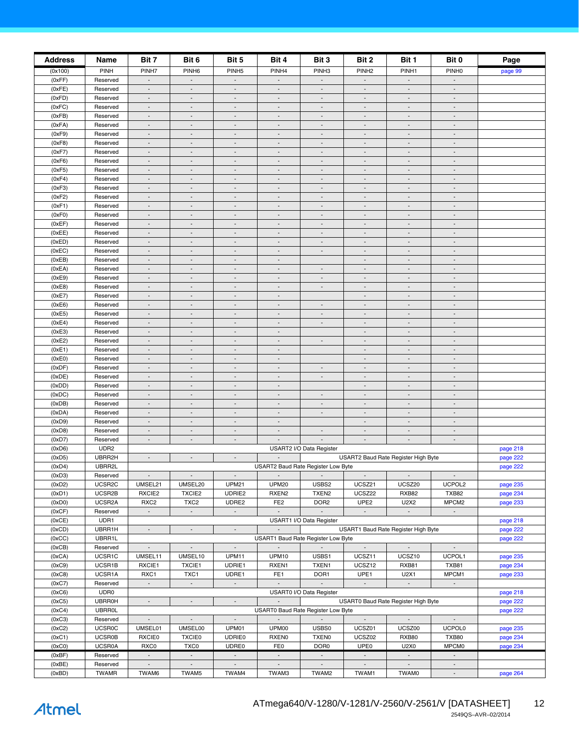| <b>Address</b>   | Name                      | Bit 7                                                | Bit 6                                                | Bit 5                                                | Bit 4                                                | Bit 3                              | Bit 2                                                | Bit 1                                                | Bit 0                              | Page     |
|------------------|---------------------------|------------------------------------------------------|------------------------------------------------------|------------------------------------------------------|------------------------------------------------------|------------------------------------|------------------------------------------------------|------------------------------------------------------|------------------------------------|----------|
| (0x100)          | <b>PINH</b>               | PINH7                                                | PINH <sub>6</sub>                                    | PINH <sub>5</sub>                                    | PINH4                                                | PINH <sub>3</sub>                  | PINH <sub>2</sub>                                    | PINH1                                                | PINH <sub>0</sub>                  | page 99  |
| (0xFF)           | Reserved                  | $\blacksquare$                                       | $\blacksquare$                                       | $\overline{\phantom{a}}$                             | $\overline{\phantom{a}}$                             | $\blacksquare$                     | $\overline{a}$                                       | $\overline{\phantom{a}}$                             | $\blacksquare$                     |          |
| (0xFE)           | Reserved                  | $\overline{\phantom{a}}$                             | $\overline{\phantom{a}}$                             | $\overline{\phantom{a}}$                             | $\overline{\phantom{a}}$                             | $\blacksquare$                     | $\blacksquare$                                       | $\overline{\phantom{a}}$                             | $\overline{\phantom{a}}$           |          |
| (0xFD)           | Reserved                  | $\overline{\phantom{a}}$                             | $\overline{\phantom{a}}$                             | $\overline{\phantom{a}}$                             | $\overline{\phantom{a}}$                             | $\overline{\phantom{a}}$           | $\overline{\phantom{a}}$                             | $\overline{\phantom{a}}$                             | $\overline{\phantom{a}}$           |          |
| (0xFC)           | Reserved                  | $\overline{\phantom{a}}$                             | $\overline{\phantom{a}}$                             | $\overline{a}$                                       | $\overline{\phantom{a}}$                             |                                    | $\overline{\phantom{a}}$                             | $\overline{\phantom{a}}$                             | $\overline{\phantom{a}}$           |          |
| (0xFB)           | Reserved                  | $\overline{\phantom{a}}$                             | $\overline{\phantom{a}}$                             | $\overline{\phantom{a}}$                             | $\overline{\phantom{a}}$                             | $\overline{\phantom{a}}$           | $\overline{\phantom{a}}$                             | $\overline{\phantom{a}}$                             | $\overline{\phantom{a}}$           |          |
| (0xFA)           | Reserved                  | $\overline{\phantom{a}}$                             | $\overline{\phantom{a}}$                             | $\overline{\phantom{a}}$                             | $\overline{\phantom{a}}$                             | $\blacksquare$                     | $\sim$                                               | $\overline{\phantom{a}}$                             | $\sim$                             |          |
| (0xF9)<br>(0xF8) | Reserved<br>Reserved      | $\mathbb{L}^2$<br>$\overline{\phantom{a}}$           | $\overline{\phantom{a}}$<br>$\overline{\phantom{a}}$ | $\Box$<br>$\overline{\phantom{a}}$                   | $\overline{\phantom{a}}$<br>$\overline{\phantom{a}}$ | $\Box$<br>$\blacksquare$           | $\overline{\phantom{a}}$<br>$\overline{\phantom{a}}$ | $\overline{\phantom{a}}$<br>$\overline{\phantom{a}}$ | $\Box$<br>$\overline{\phantom{a}}$ |          |
| (0xF7)           | Reserved                  | $\overline{\phantom{a}}$                             | $\overline{\phantom{a}}$                             | $\blacksquare$                                       | $\blacksquare$                                       | $\blacksquare$                     | $\sim$                                               | $\blacksquare$                                       | $\blacksquare$                     |          |
| (0xF6)           | Reserved                  | $\overline{\phantom{a}}$                             | $\overline{\phantom{a}}$                             | $\overline{\phantom{a}}$                             | $\overline{\phantom{a}}$                             | $\overline{\phantom{a}}$           | $\overline{\phantom{a}}$                             | $\overline{\phantom{a}}$                             | $\overline{\phantom{a}}$           |          |
| (0xF5)           | Reserved                  | $\overline{\phantom{a}}$                             | $\overline{\phantom{a}}$                             | -                                                    | $\overline{\phantom{a}}$                             | $\overline{\phantom{a}}$           | $\overline{\phantom{a}}$                             | $\overline{\phantom{a}}$                             | $\overline{\phantom{a}}$           |          |
| (0xF4)           | Reserved                  | $\overline{\phantom{a}}$                             | $\overline{\phantom{a}}$                             | $\overline{\phantom{a}}$                             | $\overline{\phantom{a}}$                             | $\overline{\phantom{a}}$           | $\overline{\phantom{a}}$                             | $\overline{\phantom{a}}$                             | $\overline{\phantom{a}}$           |          |
| (0xF3)           | Reserved                  | $\overline{\phantom{a}}$                             | $\overline{\phantom{a}}$                             | $\overline{\phantom{a}}$                             | $\overline{\phantom{a}}$                             | $\blacksquare$                     | $\overline{\phantom{a}}$                             | $\overline{\phantom{a}}$                             | $\overline{\phantom{a}}$           |          |
| (0xF2)           | Reserved                  | $\overline{\phantom{a}}$                             | $\overline{\phantom{a}}$                             | $\blacksquare$                                       | $\overline{\phantom{a}}$                             | $\blacksquare$                     | $\blacksquare$                                       | $\overline{\phantom{a}}$                             | $\blacksquare$                     |          |
| (0xF1)           | Reserved                  | $\overline{\phantom{a}}$                             | $\overline{\phantom{a}}$                             | $\overline{\phantom{a}}$                             | $\overline{\phantom{a}}$                             | $\overline{\phantom{a}}$           | $\overline{\phantom{a}}$                             | $\overline{\phantom{a}}$                             | $\overline{\phantom{a}}$           |          |
| (0xF0)           | Reserved                  | $\overline{\phantom{a}}$                             | $\overline{\phantom{a}}$                             | $\overline{a}$                                       | $\overline{\phantom{a}}$                             |                                    | $\overline{\phantom{a}}$                             | $\overline{a}$                                       | $\overline{\phantom{a}}$           |          |
| (0xEF)           | Reserved                  | $\overline{\phantom{a}}$                             | $\overline{\phantom{a}}$                             | $\overline{\phantom{a}}$                             | $\overline{\phantom{a}}$                             | $\overline{\phantom{a}}$           | $\overline{\phantom{a}}$                             | $\overline{\phantom{a}}$                             | $\overline{\phantom{a}}$           |          |
| (0xEE)<br>(0xED) | Reserved<br>Reserved      | $\overline{\phantom{a}}$<br>$\mathbb{L}^2$           | $\overline{\phantom{a}}$<br>$\overline{\phantom{a}}$ | $\overline{\phantom{a}}$<br>$\overline{\phantom{a}}$ | $\overline{\phantom{a}}$<br>$\overline{\phantom{a}}$ | $\sim$<br>$\overline{\phantom{a}}$ | $\sim$<br>$\overline{\phantom{a}}$                   | $\overline{\phantom{a}}$<br>$\overline{\phantom{a}}$ | $\sim$<br>$\overline{\phantom{a}}$ |          |
| (0xEC)           | Reserved                  | $\overline{\phantom{a}}$                             | $\overline{\phantom{a}}$                             | $\overline{\phantom{a}}$                             | $\overline{\phantom{a}}$                             | $\blacksquare$                     | $\overline{\phantom{a}}$                             | $\overline{\phantom{a}}$                             | $\overline{\phantom{a}}$           |          |
| (0xEB)           | Reserved                  | $\overline{\phantom{a}}$                             | $\overline{\phantom{a}}$                             | $\overline{\phantom{a}}$                             | $\blacksquare$                                       |                                    | $\blacksquare$                                       | $\overline{\phantom{a}}$                             | $\overline{\phantom{a}}$           |          |
| (0xEA)           | Reserved                  | $\overline{\phantom{a}}$                             | $\overline{\phantom{a}}$                             | $\overline{\phantom{a}}$                             | $\overline{\phantom{a}}$                             | $\overline{\phantom{a}}$           | $\overline{\phantom{a}}$                             | $\overline{\phantom{a}}$                             | $\overline{\phantom{a}}$           |          |
| (0xE9)           | Reserved                  | $\overline{\phantom{a}}$                             | $\overline{\phantom{a}}$                             | -                                                    | $\overline{\phantom{a}}$                             | $\overline{\phantom{a}}$           | $\overline{\phantom{a}}$                             | $\overline{\phantom{a}}$                             | $\overline{\phantom{a}}$           |          |
| (0xE8)           | Reserved                  | $\overline{\phantom{a}}$                             | $\overline{\phantom{a}}$                             | $\overline{\phantom{a}}$                             | $\overline{\phantom{a}}$                             | $\blacksquare$                     | $\overline{\phantom{a}}$                             | $\overline{\phantom{a}}$                             | $\overline{\phantom{a}}$           |          |
| (0xE7)           | Reserved                  | $\overline{\phantom{a}}$                             | $\overline{\phantom{a}}$                             | $\overline{\phantom{a}}$                             | $\overline{\phantom{a}}$                             |                                    | $\overline{\phantom{a}}$                             | $\overline{\phantom{a}}$                             | $\overline{\phantom{a}}$           |          |
| (0xE6)           | Reserved                  | $\overline{\phantom{a}}$                             | $\overline{\phantom{a}}$                             | $\overline{\phantom{a}}$                             | $\overline{\phantom{a}}$                             | $\blacksquare$                     | $\blacksquare$                                       | $\overline{\phantom{a}}$                             | $\blacksquare$                     |          |
| (0xE5)           | Reserved                  | $\overline{\phantom{a}}$                             | $\overline{\phantom{a}}$                             | $\overline{\phantom{a}}$                             | $\overline{\phantom{a}}$                             | $\overline{\phantom{a}}$           | $\overline{\phantom{a}}$                             | $\overline{\phantom{a}}$                             | $\overline{\phantom{a}}$           |          |
| (0xE4)           | Reserved                  | $\centerdot$                                         | $\overline{\phantom{a}}$                             |                                                      | $\overline{\phantom{a}}$                             | $\overline{\phantom{a}}$           | $\overline{\phantom{a}}$                             | $\centerdot$                                         |                                    |          |
| (0xE3)           | Reserved                  | $\overline{\phantom{a}}$                             | $\overline{\phantom{a}}$                             | $\overline{\phantom{a}}$                             | $\overline{\phantom{a}}$                             | $\blacksquare$                     | $\overline{\phantom{a}}$<br>$\sim$                   | $\overline{\phantom{a}}$                             | $\overline{\phantom{a}}$<br>$\sim$ |          |
| (0xE2)<br>(0xE1) | Reserved<br>Reserved      | $\overline{\phantom{a}}$<br>$\overline{\phantom{a}}$ | $\overline{\phantom{a}}$<br>$\overline{\phantom{a}}$ | $\overline{\phantom{a}}$<br>$\frac{1}{2}$            | $\overline{\phantom{a}}$<br>$\overline{\phantom{a}}$ |                                    | $\overline{\phantom{a}}$                             | $\overline{\phantom{a}}$<br>$\overline{\phantom{a}}$ | $\overline{\phantom{a}}$           |          |
| (0xE0)           | Reserved                  | $\overline{\phantom{a}}$                             | $\overline{\phantom{a}}$                             | $\overline{\phantom{a}}$                             | $\overline{\phantom{a}}$                             |                                    | $\overline{\phantom{a}}$                             | $\overline{\phantom{a}}$                             | $\overline{\phantom{a}}$           |          |
| (0xDF)           | Reserved                  | $\overline{\phantom{a}}$                             | $\overline{\phantom{a}}$                             | $\overline{\phantom{a}}$                             | $\blacksquare$                                       | $\blacksquare$                     | $\overline{\phantom{a}}$                             | $\blacksquare$                                       | $\blacksquare$                     |          |
| (0xDE)           | Reserved                  | $\overline{\phantom{a}}$                             | $\overline{\phantom{a}}$                             | $\overline{\phantom{a}}$                             | $\overline{\phantom{a}}$                             | $\overline{\phantom{a}}$           | $\overline{\phantom{a}}$                             | $\overline{\phantom{a}}$                             | $\overline{\phantom{a}}$           |          |
| (0xDD)           | Reserved                  | $\overline{\phantom{a}}$                             | $\overline{\phantom{a}}$                             | -                                                    | $\overline{\phantom{a}}$                             |                                    | $\overline{\phantom{a}}$                             | $\overline{\phantom{a}}$                             | $\overline{\phantom{a}}$           |          |
| (0xDC)           | Reserved                  | $\overline{\phantom{a}}$                             | $\overline{\phantom{a}}$                             | $\overline{\phantom{a}}$                             | $\overline{\phantom{a}}$                             | $\overline{\phantom{a}}$           | $\blacksquare$                                       | $\overline{\phantom{a}}$                             | $\overline{\phantom{a}}$           |          |
| (0xDB)           | Reserved                  | $\overline{\phantom{a}}$                             | $\overline{\phantom{a}}$                             | $\overline{\phantom{a}}$                             | $\overline{\phantom{a}}$                             | $\blacksquare$                     | $\blacksquare$                                       | $\overline{\phantom{a}}$                             | $\blacksquare$                     |          |
| (0xDA)           | Reserved                  | $\overline{\phantom{a}}$                             | $\overline{\phantom{a}}$                             | $\overline{\phantom{a}}$                             | $\overline{\phantom{a}}$                             | $\overline{\phantom{a}}$           | $\blacksquare$                                       | $\overline{\phantom{a}}$                             | $\blacksquare$                     |          |
| (0xD9)           | Reserved                  | $\overline{\phantom{a}}$                             | $\overline{\phantom{a}}$                             | $\overline{\phantom{a}}$                             | $\blacksquare$                                       |                                    | $\overline{\phantom{a}}$                             | $\blacksquare$                                       | $\blacksquare$                     |          |
| (0xD8)<br>(0xD7) | Reserved<br>Reserved      | $\overline{a}$                                       | $\overline{\phantom{a}}$<br>$\overline{\phantom{a}}$ | $\overline{\phantom{a}}$                             | $\overline{\phantom{a}}$                             | $\overline{\phantom{a}}$           | $\overline{\phantom{a}}$                             | $\overline{\phantom{a}}$<br>$\overline{\phantom{a}}$ | $\overline{\phantom{a}}$           |          |
| (0xD6)           | UDR <sub>2</sub>          | $\overline{\phantom{a}}$                             |                                                      |                                                      |                                                      | USART2 I/O Data Register           |                                                      |                                                      |                                    | page 218 |
| (0xD5)           | UBRR2H                    | $\overline{\phantom{a}}$                             | $\blacksquare$                                       | $\Box$                                               |                                                      |                                    | USART2 Baud Rate Register High Byte                  |                                                      |                                    | page 222 |
| (0xD4)           | UBRR2L                    |                                                      |                                                      |                                                      | USART2 Baud Rate Register Low Byte                   |                                    |                                                      |                                                      |                                    | page 222 |
| (0xD3)           | Reserved                  |                                                      |                                                      |                                                      |                                                      |                                    |                                                      |                                                      |                                    |          |
| (0xD2)           | UCSR <sub>2C</sub>        | UMSEL21                                              | UMSEL20                                              | <b>UPM21</b>                                         | <b>UPM20</b>                                         | USBS2                              | UCSZ21                                               | UCSZ20                                               | UCPOL2                             | page 235 |
| (0xD1)           | UCSR2B                    | RXCIE2                                               | TXCIE2                                               | UDRIE2                                               | RXEN <sub>2</sub>                                    | TXEN <sub>2</sub>                  | UCSZ22                                               | <b>RXB82</b>                                         | <b>TXB82</b>                       | page 234 |
| (0xD0)           | UCSR2A                    | RXC <sub>2</sub>                                     | TXC <sub>2</sub>                                     | UDRE2                                                | FE <sub>2</sub>                                      | DOR <sub>2</sub>                   | UPE <sub>2</sub>                                     | U2X2                                                 | MPCM <sub>2</sub>                  | page 233 |
| (0xCF)           | Reserved                  | $\sim$                                               | $\sim$                                               | $\mathbb{Z}^{\mathbb{Z}}$                            | $\sim$                                               | $\sim$                             | $\sim$                                               | $\sim$                                               | $\sim$                             |          |
| (0xCE)           | UDR1                      |                                                      |                                                      |                                                      |                                                      | USART1 I/O Data Register           |                                                      |                                                      |                                    | page 218 |
| (0xCD)           | UBRR1H<br>UBRR1L          | $\sim$                                               | $\overline{\phantom{a}}$                             | $\overline{\phantom{a}}$                             | USART1 Baud Rate Register Low Byte                   |                                    | USART1 Baud Rate Register High Byte                  |                                                      |                                    | page 222 |
| (0xCC)<br>(0xCB) | Reserved                  | $\mathcal{L}_{\mathcal{A}}$                          | $\overline{\phantom{a}}$                             | $\overline{\phantom{a}}$                             | $\mathcal{L}_{\mathcal{A}}$                          | $\sim$                             | $\omega$                                             | $\sim$                                               | $\overline{\phantom{a}}$           | page 222 |
| (0xCA)           | UCSR1C                    | UMSEL11                                              | UMSEL10                                              | UPM11                                                | <b>UPM10</b>                                         | USBS1                              | UCSZ11                                               | UCSZ10                                               | UCPOL1                             | page 235 |
| (0xC9)           | UCSR1B                    | RXCIE1                                               | TXCIE1                                               | UDRIE1                                               | RXEN1                                                | TXEN1                              | UCSZ12                                               | <b>RXB81</b>                                         | <b>TXB81</b>                       | page 234 |
| (0xC8)           | UCSR1A                    | RXC1                                                 | TXC1                                                 | UDRE1                                                | FE <sub>1</sub>                                      | DOR <sub>1</sub>                   | UPE1                                                 | U2X1                                                 | MPCM1                              | page 233 |
| (0xC7)           | Reserved                  | $\sim$                                               | $\mathbb{Z}^{\mathbb{Z}}$                            | $\sim$                                               | $\sim$                                               |                                    | $\sim$                                               | $\sim$                                               | $\mathcal{L}_{\mathcal{A}}$        |          |
| (0xC6)           | UDR0                      |                                                      |                                                      |                                                      |                                                      | USART0 I/O Data Register           |                                                      |                                                      |                                    | page 218 |
| (0xC5)           | <b>UBRR0H</b>             | $\overline{\phantom{a}}$                             | $\overline{\phantom{a}}$                             | $\overline{\phantom{a}}$                             | $\sim$                                               |                                    | USART0 Baud Rate Register High Byte                  |                                                      |                                    | page 222 |
| (0xC4)           | <b>UBRR0L</b>             |                                                      |                                                      |                                                      | USART0 Baud Rate Register Low Byte                   |                                    |                                                      |                                                      |                                    | page 222 |
| (0xC3)           | Reserved                  | $\mathbb{Z}^2$                                       | $\overline{\phantom{a}}$                             | $\sim$                                               | $\sim$                                               | $\sim$                             | $\sim$                                               | $\sim$                                               | $\overline{\phantom{a}}$           |          |
| (0xC2)           | <b>UCSR0C</b>             | UMSEL01                                              | UMSEL00                                              | UPM01                                                | UPM00                                                | USBS0                              | UCSZ01                                               | UCSZ00                                               | <b>UCPOL0</b>                      | page 235 |
| (0xC1)           | <b>UCSR0B</b>             | <b>RXCIE0</b>                                        | <b>TXCIE0</b>                                        | <b>UDRIE0</b>                                        | RXEN <sub>0</sub>                                    | <b>TXEN0</b>                       | UCSZ02                                               | <b>RXB80</b>                                         | <b>TXB80</b>                       | page 234 |
| (0xC0)<br>(0xBF) | <b>UCSR0A</b><br>Reserved | RXC0<br>$\sim$                                       | TXC0<br>$\sim$                                       | UDRE0<br>$\sim$                                      | FE0<br>$\sim$                                        | DOR <sub>0</sub><br>$\sim$         | UPE <sub>0</sub><br>$\sim$                           | U2X0<br>$\sim$                                       | <b>MPCM0</b><br>$\blacksquare$     | page 234 |
| (0xBE)           | Reserved                  | $\sim$                                               | $\sim$                                               | $\sim$                                               | $\sim$                                               | $\sim$                             | $\sim$                                               | $\sim$                                               | $\overline{\phantom{a}}$           |          |
| (0xBD)           | <b>TWAMR</b>              | TWAM6                                                | TWAM5                                                | TWAM4                                                | TWAM3                                                | TWAM2                              | TWAM1                                                | <b>TWAM0</b>                                         | $\omega$                           | page 264 |
|                  |                           |                                                      |                                                      |                                                      |                                                      |                                    |                                                      |                                                      |                                    |          |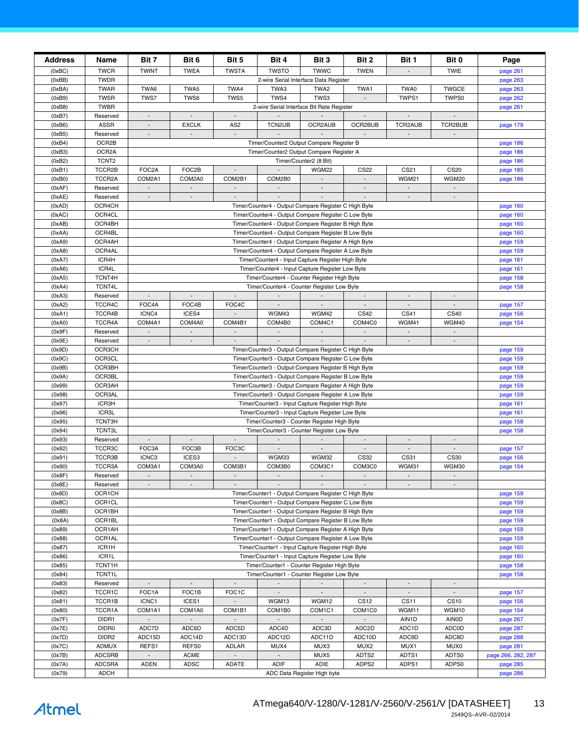| <b>Address</b>   | Name                       | Bit 7                                                                                     | Bit 6                                                                                                       | Bit 5                    | Bit 4                                                                                                       | Bit 3                                 | Bit 2                      | Bit 1                    | Bit 0                    | Page                           |
|------------------|----------------------------|-------------------------------------------------------------------------------------------|-------------------------------------------------------------------------------------------------------------|--------------------------|-------------------------------------------------------------------------------------------------------------|---------------------------------------|----------------------------|--------------------------|--------------------------|--------------------------------|
| (0xBC)           | <b>TWCR</b>                | <b>TWINT</b>                                                                              | <b>TWEA</b>                                                                                                 | <b>TWSTA</b>             | <b>TWSTO</b>                                                                                                | <b>TWWC</b>                           | <b>TWEN</b>                |                          | <b>TWIE</b>              | page 261                       |
| (0xBB)           | <b>TWDR</b>                |                                                                                           |                                                                                                             |                          |                                                                                                             | 2-wire Serial Interface Data Register |                            |                          |                          | page 263                       |
| (0xBA)           | <b>TWAR</b>                | TWA6                                                                                      | TWA5<br>TWS6                                                                                                | TWA4<br>TWS5             | TWA3<br>TWS4                                                                                                | TWA2<br>TWS3                          | TWA1<br>$\mathcal{L}$      | TWA0                     | <b>TWGCE</b>             | page 263                       |
| (0xB9)<br>(0xB8) | <b>TWSR</b><br><b>TWBR</b> | TWS7                                                                                      |                                                                                                             |                          | 2-wire Serial Interface Bit Rate Register                                                                   |                                       |                            | TWPS1                    | TWPS0                    | page 262<br>page 261           |
| (0xB7)           | Reserved                   | $\blacksquare$                                                                            | $\overline{\phantom{a}}$                                                                                    | $\sim$                   |                                                                                                             |                                       |                            |                          |                          |                                |
| (0xB6)           | <b>ASSR</b>                | $\overline{\phantom{a}}$                                                                  | <b>EXCLK</b>                                                                                                | AS <sub>2</sub>          | TCN2UB                                                                                                      | OCR2AUB                               | OCR2BUB                    | TCR2AUB                  | TCR2BUB                  | page 179                       |
| (0xB5)           | Reserved                   |                                                                                           |                                                                                                             |                          |                                                                                                             |                                       |                            |                          |                          |                                |
| (0xB4)           | OCR2B                      |                                                                                           |                                                                                                             |                          | Timer/Counter2 Output Compare Register B                                                                    |                                       |                            |                          |                          | page 186                       |
| (0xB3)<br>(0xB2) | OCR2A<br>TCNT <sub>2</sub> |                                                                                           |                                                                                                             |                          | Timer/Counter2 Output Compare Register A                                                                    | Timer/Counter2 (8 Bit)                |                            |                          |                          | page 186<br>page 186           |
| (0xB1)           | TCCR2B                     | FOC2A                                                                                     | FOC2B                                                                                                       | $\blacksquare$           | $\sim$                                                                                                      | <b>WGM22</b>                          | <b>CS22</b>                | CS21                     | <b>CS20</b>              | page 185                       |
| (0xB0)           | TCCR <sub>2</sub> A        | COM2A1                                                                                    | COM2A0                                                                                                      | COM2B1                   | COM2B0                                                                                                      |                                       | $\mathcal{L}$              | WGM21                    | WGM20                    | page 186                       |
| (0xAF)           | Reserved                   | $\overline{\phantom{a}}$                                                                  | $\Box$                                                                                                      | $\overline{a}$           |                                                                                                             | $\overline{\phantom{a}}$              | $\overline{\phantom{a}}$   |                          |                          |                                |
| (0xAE)           | Reserved                   |                                                                                           |                                                                                                             |                          |                                                                                                             |                                       |                            |                          |                          |                                |
| (0xAD)           | OCR4CH                     |                                                                                           |                                                                                                             |                          | Timer/Counter4 - Output Compare Register C High Byte                                                        |                                       |                            |                          |                          | page 160                       |
| (0xAC)           | OCR4CL                     |                                                                                           |                                                                                                             |                          | Timer/Counter4 - Output Compare Register C Low Byte                                                         |                                       |                            |                          |                          | page 160                       |
| (0xAB)<br>(0xAA) | OCR4BH<br>OCR4BL           |                                                                                           |                                                                                                             |                          | Timer/Counter4 - Output Compare Register B High Byte<br>Timer/Counter4 - Output Compare Register B Low Byte |                                       |                            |                          |                          | page 160<br>page 160           |
| (0xA9)           | OCR4AH                     |                                                                                           |                                                                                                             |                          | Timer/Counter4 - Output Compare Register A High Byte                                                        |                                       |                            |                          |                          | page 159                       |
| (0xA8)           | OCR4AL                     |                                                                                           |                                                                                                             |                          | Timer/Counter4 - Output Compare Register A Low Byte                                                         |                                       |                            |                          |                          | page 159                       |
| (0xA7)           | ICR4H                      |                                                                                           |                                                                                                             |                          | Timer/Counter4 - Input Capture Register High Byte                                                           |                                       |                            |                          |                          | page 161                       |
| (0xA6)           | ICR4L                      |                                                                                           |                                                                                                             |                          | Timer/Counter4 - Input Capture Register Low Byte                                                            |                                       |                            |                          |                          | page 161                       |
| (0xA5)           | TCNT4H                     |                                                                                           |                                                                                                             |                          | Timer/Counter4 - Counter Register High Byte                                                                 |                                       |                            |                          |                          | page 158                       |
| (0xA4)<br>(0xA3) | TCNT4L<br>Reserved         | $\overline{\phantom{a}}$                                                                  | $\overline{\phantom{a}}$                                                                                    | $\overline{\phantom{a}}$ | Timer/Counter4 - Counter Register Low Byte                                                                  |                                       | $\overline{\phantom{a}}$   | $\overline{\phantom{a}}$ | $\overline{\phantom{a}}$ | page 158                       |
| (0xA2)           | TCCR4C                     | FOC4A                                                                                     | FOC4B                                                                                                       | FOC4C                    |                                                                                                             |                                       |                            |                          |                          | page 157                       |
| (0xA1)           | TCCR4B                     | ICNC4                                                                                     | ICES4                                                                                                       | ÷,                       | WGM43                                                                                                       | WGM42                                 | CS42                       | CS41                     | CS40                     | page 156                       |
| (0xA0)           | TCCR4A                     | COM4A1                                                                                    | COM4A0                                                                                                      | COM4B1                   | COM4B0                                                                                                      | COM4C1                                | COM4C0                     | WGM41                    | WGM40                    | page 154                       |
| (0x9F)           | Reserved                   |                                                                                           | $\overline{\phantom{a}}$                                                                                    | $\blacksquare$           | $\overline{\phantom{a}}$                                                                                    | $\Box$                                | $\Box$                     |                          | $\overline{a}$           |                                |
| (0x9E)           | Reserved                   | $\overline{\phantom{a}}$                                                                  | $\overline{\phantom{a}}$<br>$\blacksquare$<br>$\overline{\phantom{a}}$                                      |                          |                                                                                                             |                                       |                            |                          |                          |                                |
| (0x9D)           | OCR3CH                     |                                                                                           | Timer/Counter3 - Output Compare Register C High Byte<br>Timer/Counter3 - Output Compare Register C Low Byte |                          |                                                                                                             |                                       |                            |                          | page 159                 |                                |
| (0x9C)           | OCR3CL                     |                                                                                           |                                                                                                             |                          |                                                                                                             |                                       |                            |                          |                          | page 159                       |
| (0x9B)<br>(0x9A) | OCR3BH<br>OCR3BL           |                                                                                           |                                                                                                             |                          | Timer/Counter3 - Output Compare Register B High Byte<br>Timer/Counter3 - Output Compare Register B Low Byte |                                       |                            |                          |                          | page 159<br>page 159           |
| (0x99)           | OCR3AH                     |                                                                                           |                                                                                                             |                          | Timer/Counter3 - Output Compare Register A High Byte                                                        |                                       |                            |                          |                          | page 159                       |
| (0x98)           | OCR3AL                     |                                                                                           |                                                                                                             |                          | Timer/Counter3 - Output Compare Register A Low Byte                                                         |                                       |                            |                          |                          | page 159                       |
| (0x97)           | ICR3H                      |                                                                                           |                                                                                                             |                          | Timer/Counter3 - Input Capture Register High Byte                                                           |                                       |                            |                          |                          | page 161                       |
| (0x96)           | ICR3L                      |                                                                                           |                                                                                                             |                          | Timer/Counter3 - Input Capture Register Low Byte                                                            |                                       |                            |                          |                          | page 161                       |
| (0x95)<br>(0x94) | TCNT3H<br><b>TCNT3L</b>    |                                                                                           |                                                                                                             |                          | Timer/Counter3 - Counter Register High Byte<br>Timer/Counter3 - Counter Register Low Byte                   |                                       |                            |                          |                          | page 158<br>page 158           |
| (0x93)           | Reserved                   | $\mathcal{L}_{\mathcal{A}}$                                                               | $\blacksquare$                                                                                              | $\blacksquare$           |                                                                                                             |                                       |                            | $\overline{\phantom{a}}$ | $\blacksquare$           |                                |
| (0x92)           | TCCR3C                     | FOC3A                                                                                     | FOC3B                                                                                                       | FOC3C                    | $\blacksquare$                                                                                              |                                       |                            |                          | $\overline{\phantom{a}}$ | page 157                       |
| (0x91)           | TCCR3B                     | ICNC3                                                                                     | ICES3                                                                                                       |                          | WGM33                                                                                                       | WGM32                                 | <b>CS32</b>                | CS31                     | <b>CS30</b>              | page 156                       |
| (0x90)           | TCCR3A                     | COM3A1                                                                                    | COM3A0                                                                                                      | COM3B1                   | COM3B0                                                                                                      | COM3C1                                | COM3C0                     | WGM31                    | WGM30                    | page 154                       |
| (0x8F)           | Reserved                   |                                                                                           |                                                                                                             | $\overline{\phantom{a}}$ |                                                                                                             |                                       |                            | $\overline{\phantom{a}}$ |                          |                                |
| (0x8E)<br>(0x8D) | Reserved<br>OCR1CH         | $\sim$                                                                                    | $\Box$                                                                                                      |                          | Timer/Counter1 - Output Compare Register C High Byte                                                        |                                       |                            | $\mathcal{L}$            | $\mathcal{L}$            | page 159                       |
| (0x8C)           | OCR1CL                     |                                                                                           |                                                                                                             |                          | Timer/Counter1 - Output Compare Register C Low Byte                                                         |                                       |                            |                          |                          | page 159                       |
| (0x8B)           | OCR1BH                     |                                                                                           |                                                                                                             |                          | Timer/Counter1 - Output Compare Register B High Byte                                                        |                                       |                            |                          |                          | page 159                       |
| (0x8A)           | OCR1BL                     |                                                                                           |                                                                                                             |                          | Timer/Counter1 - Output Compare Register B Low Byte                                                         |                                       |                            |                          |                          | page 159                       |
| (0x89)           | OCR1AH                     |                                                                                           |                                                                                                             |                          | Timer/Counter1 - Output Compare Register A High Byte                                                        |                                       |                            |                          |                          | page 159                       |
| (0x88)           | OCR1AL                     |                                                                                           |                                                                                                             |                          | Timer/Counter1 - Output Compare Register A Low Byte                                                         |                                       |                            |                          |                          | page 159                       |
| (0x87)           | ICR1H                      |                                                                                           |                                                                                                             |                          | Timer/Counter1 - Input Capture Register High Byte                                                           |                                       |                            |                          |                          | page 160                       |
| (0x86)           | ICR1L                      |                                                                                           | Timer/Counter1 - Input Capture Register Low Byte                                                            |                          |                                                                                                             |                                       |                            | page 160                 |                          |                                |
| (0x85)<br>(0x84) | TCNT1H<br><b>TCNT1L</b>    | Timer/Counter1 - Counter Register High Byte<br>Timer/Counter1 - Counter Register Low Byte |                                                                                                             |                          |                                                                                                             |                                       | page 158<br>page 158       |                          |                          |                                |
| (0x83)           | Reserved                   | $\sim$                                                                                    | $\mathcal{L}_{\mathcal{A}}$                                                                                 | $\overline{\phantom{a}}$ | $\sim$                                                                                                      | $\sim$                                | $\overline{\phantom{a}}$   | $\overline{\phantom{a}}$ | $\blacksquare$           |                                |
| (0x82)           | TCCR1C                     | FOC <sub>1</sub> A                                                                        | FOC1B                                                                                                       | FOC1C                    | $\mathbb{Z}^+$                                                                                              | $\mathbb{Z}^{\mathbb{Z}}$             | $\mathbb{L}$               | $\Box$                   | $\mathbb{L}$             | page 157                       |
| (0x81)           | TCCR1B                     | ICNC1                                                                                     | ICES1                                                                                                       | $\overline{\phantom{a}}$ | WGM13                                                                                                       | WGM12                                 | CS <sub>12</sub>           | CS <sub>11</sub>         | <b>CS10</b>              | page 156                       |
| (0x80)           | TCCR1A                     | COM1A1                                                                                    | COM1A0                                                                                                      | COM1B1                   | COM1B0                                                                                                      | COM1C1                                | COM1C0                     | WGM11                    | WGM10                    | page 154                       |
| (0x7F)           | DIDR1                      | $\sim$                                                                                    | $\overline{\phantom{a}}$                                                                                    | $\overline{\phantom{a}}$ | $\mathcal{L}_{\mathcal{A}}$                                                                                 | $\sim$                                | $\mathbb{L}$               | AIN1D                    | <b>AINOD</b>             | page 267                       |
| (0x7E)           | DIDR0                      | ADC7D                                                                                     | ADC6D                                                                                                       | ADC5D                    | ADC4D                                                                                                       | ADC3D                                 | ADC2D                      | ADC1D                    | <b>ADC0D</b>             | page 287                       |
| (0x7D)           | DIDR2<br><b>ADMUX</b>      | ADC15D<br>REFS1                                                                           | ADC14D<br>REFS0                                                                                             | ADC13D<br><b>ADLAR</b>   | ADC12D<br>MUX4                                                                                              | ADC11D<br>MUX3                        | ADC10D<br>MUX <sub>2</sub> | ADC9D<br>MUX1            | ADC8D<br>MUX0            | page 288                       |
| (0x7C)<br>(0x7B) | <b>ADCSRB</b>              | $\sim$                                                                                    | <b>ACME</b>                                                                                                 | $\overline{\phantom{a}}$ | $\sim$                                                                                                      | MUX5                                  | ADTS2                      | ADTS1                    | ADTS0                    | page 281<br>page 266, 282, 287 |
| (0x7A)           | <b>ADCSRA</b>              | <b>ADEN</b>                                                                               | <b>ADSC</b>                                                                                                 | ADATE                    | <b>ADIF</b>                                                                                                 | ADIE                                  | ADPS2                      | ADPS1                    | ADPS0                    | page 285                       |
| (0x79)           | ${\sf ADCH}$               |                                                                                           |                                                                                                             |                          |                                                                                                             | ADC Data Register High byte           |                            |                          |                          | page 286                       |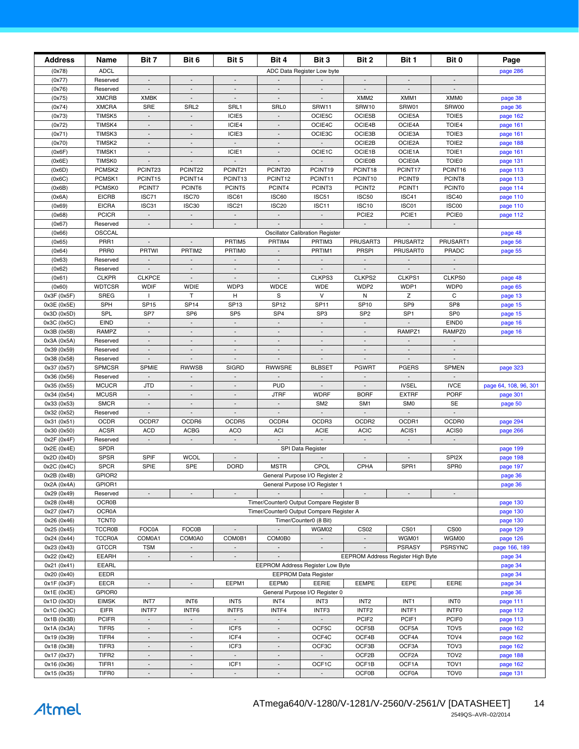| <b>Address</b>             | Name                              | Bit 7                                     | Bit 6                                                | Bit 5                                         | Bit 4                                                | Bit 3                                    | Bit 2                                      | Bit 1                             | Bit 0                                 | Page                  |
|----------------------------|-----------------------------------|-------------------------------------------|------------------------------------------------------|-----------------------------------------------|------------------------------------------------------|------------------------------------------|--------------------------------------------|-----------------------------------|---------------------------------------|-----------------------|
| (0x78)                     | <b>ADCL</b>                       |                                           |                                                      |                                               |                                                      | ADC Data Register Low byte               |                                            |                                   |                                       | page 286              |
| (0x77)                     | Reserved                          |                                           |                                                      |                                               |                                                      |                                          |                                            |                                   |                                       |                       |
| (0x76)<br>(0x75)           | Reserved<br><b>XMCRB</b>          | $\sim$<br><b>XMBK</b>                     | $\mathcal{L}^{\pm}$                                  | $\mathbb{Z}^2$                                | $\mathbb{L}^2$                                       | $\mathcal{L}$                            | XMM <sub>2</sub>                           | $\overline{\phantom{a}}$<br>XMM1  | XMM0                                  |                       |
| (0x74)                     | <b>XMCRA</b>                      | SRE                                       | SRL <sub>2</sub>                                     | SRL1                                          | SRL0                                                 | SRW11                                    | SRW10                                      | SRW01                             | SRW00                                 | page 38<br>page 36    |
| (0x73)                     | TIMSK5                            | $\mathcal{L}^{\pm}$                       | $\mathcal{L}$                                        | ICIE5                                         |                                                      | OCIE5C                                   | OCIE5B                                     | OCIE5A                            | TOIE5                                 | page 162              |
| (0x72)                     | TIMSK4                            | $\overline{\phantom{a}}$                  | $\overline{\phantom{a}}$                             | ICIE4                                         | $\overline{\phantom{a}}$                             | OCIE4C                                   | OCIE4B                                     | OCIE4A                            | TOIE4                                 | page 161              |
| (0x71)                     | TIMSK3                            |                                           |                                                      | ICIE3                                         |                                                      | OCIE3C                                   | OCIE3B                                     | OCIE3A                            | TOIE <sub>3</sub>                     | page 161              |
| (0x70)<br>(0x6F)           | TIMSK2<br>TIMSK1                  | $\sim$<br>$\sim$                          | $\mathcal{L}_{\mathcal{A}}$<br>$\sim$                | $\mathcal{L}_{\mathcal{A}}$<br>ICIE1          | $\overline{\phantom{a}}$<br>$\blacksquare$           | $\Box$<br>OCIE1C                         | OCIE2B<br>OCIE1B                           | OCIE2A<br>OCIE1A                  | TOIE <sub>2</sub><br>TOIE1            | page 188              |
| (0x6E)                     | TIMSK0                            | $\mathcal{L}$                             | $\mathcal{L}$                                        | $\overline{\phantom{a}}$                      |                                                      |                                          | <b>OCIE0B</b>                              | <b>OCIE0A</b>                     | <b>TOIE0</b>                          | page 161<br>page 131  |
| (0x6D)                     | PCMSK2                            | PCINT23                                   | PCINT22                                              | PCINT21                                       | PCINT20                                              | PCINT19                                  | PCINT18                                    | PCINT17                           | PCINT16                               | page 113              |
| (0x6C)                     | PCMSK1                            | PCINT15                                   | PCINT14                                              | PCINT13                                       | PCINT12                                              | PCINT11                                  | PCINT10                                    | PCINT9                            | PCINT8                                | page 113              |
| (0x6B)                     | PCMSK0                            | PCINT7                                    | PCINT6                                               | PCINT5                                        | PCINT4                                               | PCINT3                                   | PCINT2                                     | PCINT1                            | <b>PCINT0</b>                         | page 114              |
| (0x6A)                     | <b>EICRB</b>                      | ISC71                                     | ISC70                                                | ISC61                                         | ISC60                                                | ISC51                                    | <b>ISC50</b>                               | ISC41                             | ISC40                                 | page 110              |
| (0x69)<br>(0x68)           | <b>EICRA</b><br><b>PCICR</b>      | ISC31<br>$\blacksquare$                   | ISC30<br>$\blacksquare$                              | ISC <sub>21</sub><br>$\overline{\phantom{a}}$ | ISC <sub>20</sub><br>$\overline{\phantom{a}}$        | ISC11                                    | ISC10<br>PCIE <sub>2</sub>                 | ISC01<br>PCIE1                    | ISC00<br><b>PCIE0</b>                 | page 110<br>page 112  |
| (0x67)                     | Reserved                          | $\mathbb{Z}$                              | $\mathcal{L}$                                        | $\mathcal{L}$                                 | $\overline{\phantom{a}}$                             |                                          | $\mathbb{Z}^2$                             | $\blacksquare$                    | $\mathbb{L}$                          |                       |
| (0x66)                     | OSCCAL                            |                                           |                                                      |                                               |                                                      | <b>Oscillator Calibration Register</b>   |                                            |                                   |                                       | page 48               |
| (0x65)                     | PRR1                              |                                           |                                                      | PRTIM5                                        | PRTIM4                                               | PRTIM3                                   | PRUSART3                                   | PRUSART2                          | PRUSART1                              | page 56               |
| (0x64)                     | PRR0                              | <b>PRTWI</b>                              | PRTIM2                                               | PRTIM0                                        | $\overline{\phantom{a}}$                             | PRTIM1                                   | <b>PRSPI</b>                               | <b>PRUSART0</b>                   | PRADC                                 | page 55               |
| (0x63)<br>(0x62)           | Reserved<br>Reserved              | $\sim$<br>$\mathcal{L}$                   | $\sim$<br>$\blacksquare$                             | $\overline{\phantom{a}}$<br>$\overline{a}$    | $\overline{\phantom{a}}$<br>$\overline{\phantom{a}}$ | $\blacksquare$<br>$\overline{a}$         | $\sim$<br>$\mathcal{L}$                    | $\sim$<br>$\mathcal{L}$           | $\blacksquare$<br>$\mathbb{Z}^2$      |                       |
| (0x61)                     | <b>CLKPR</b>                      | <b>CLKPCE</b>                             | $\blacksquare$                                       | $\overline{\phantom{a}}$                      | $\blacksquare$                                       | CLKPS3                                   | CLKPS2                                     | CLKPS1                            | CLKPS0                                | page 48               |
| (0x60)                     | <b>WDTCSR</b>                     | <b>WDIF</b>                               | <b>WDIE</b>                                          | WDP3                                          | <b>WDCE</b>                                          | <b>WDE</b>                               | WDP2                                       | WDP1                              | WDP0                                  | page 65               |
| 0x3F (0x5F)                | <b>SREG</b>                       |                                           | T                                                    | H                                             | S                                                    | $\vee$                                   | N                                          | Z                                 | C                                     | page 13               |
| 0x3E (0x5E)                | SPH                               | SP <sub>15</sub>                          | SP <sub>14</sub>                                     | SP <sub>13</sub>                              | SP12                                                 | <b>SP11</b>                              | SP10                                       | SP <sub>9</sub>                   | SP <sub>8</sub>                       | page 15               |
| 0x3D (0x5D)                | SPL                               | SP7                                       | SP <sub>6</sub>                                      | SP <sub>5</sub>                               | SP <sub>4</sub>                                      | SP <sub>3</sub>                          | SP <sub>2</sub>                            | SP <sub>1</sub>                   | SP <sub>0</sub>                       | page 15               |
| 0x3C (0x5C)<br>0x3B (0x5B) | EIND<br>RAMPZ                     | $\blacksquare$<br>$\sim$                  | $\blacksquare$<br>$\blacksquare$                     | $\overline{\phantom{a}}$<br>$\blacksquare$    | $\mathcal{L}$                                        | $\blacksquare$<br>$\overline{a}$         | $\overline{\phantom{a}}$<br>$\blacksquare$ | $\sim$<br>RAMPZ1                  | EIND0<br>RAMPZ0                       | page 16<br>page 16    |
| 0x3A (0x5A)                | Reserved                          | $\overline{\phantom{a}}$                  | $\overline{\phantom{a}}$                             | $\overline{\phantom{a}}$                      | $\overline{\phantom{a}}$                             | $\overline{\phantom{a}}$                 | $\overline{\phantom{a}}$                   |                                   |                                       |                       |
| 0x39 (0x59)                | Reserved                          |                                           |                                                      |                                               |                                                      |                                          |                                            |                                   |                                       |                       |
| 0x38 (0x58)                | Reserved                          | $\sim$                                    | $\overline{\phantom{a}}$                             | $\Box$                                        | $\overline{\phantom{a}}$                             | $\overline{\phantom{a}}$                 | $\Box$                                     | $\overline{\phantom{a}}$          | $\Box$                                |                       |
| 0x37 (0x57)                | SPMCSR                            | SPMIE                                     | <b>RWWSB</b>                                         | <b>SIGRD</b>                                  | <b>RWWSRE</b>                                        | <b>BLBSET</b>                            | <b>PGWRT</b>                               | <b>PGERS</b>                      | <b>SPMEN</b>                          | page 323              |
| 0x36 (0x56)<br>0x35 (0x55) | Reserved<br><b>MCUCR</b>          | $\overline{\phantom{a}}$<br><b>JTD</b>    | $\blacksquare$<br>$\blacksquare$                     | $\overline{a}$<br>$\blacksquare$              | <b>PUD</b>                                           | $\Box$<br>$\blacksquare$                 | $\Box$<br>$\overline{\phantom{a}}$         | <b>IVSEL</b>                      | $\mathbb{Z}^2$<br><b>IVCE</b>         | page 64, 108, 96, 301 |
| 0x34 (0x54)                | <b>MCUSR</b>                      | $\overline{\phantom{a}}$                  |                                                      |                                               | <b>JTRF</b>                                          | <b>WDRF</b>                              | <b>BORF</b>                                | <b>EXTRF</b>                      | <b>PORF</b>                           | page 301              |
| 0x33 (0x53)                | <b>SMCR</b>                       | $\overline{\phantom{a}}$                  |                                                      | $\overline{a}$                                |                                                      | SM <sub>2</sub>                          | SM <sub>1</sub>                            | SM <sub>0</sub>                   | <b>SE</b>                             | page 50               |
| 0x32 (0x52)                | Reserved                          | $\overline{\phantom{a}}$                  | $\overline{\phantom{a}}$                             | $\overline{\phantom{a}}$                      | $\overline{\phantom{a}}$                             | $\blacksquare$                           | $\blacksquare$                             | $\sim$                            | $\blacksquare$                        |                       |
| 0x31 (0x51)                | <b>OCDR</b>                       | OCDR7                                     | OCDR6                                                | OCDR5                                         | OCDR4                                                | OCDR3                                    | OCDR2                                      | OCDR1                             | OCDR0                                 | page 294              |
| 0x30 (0x50)                | <b>ACSR</b>                       | <b>ACD</b><br>$\mathcal{L}$               | <b>ACBG</b><br>$\Box$                                | <b>ACO</b><br>$\mathbb{Z}^2$                  | ACI                                                  | <b>ACIE</b>                              | <b>ACIC</b><br>$\mathcal{L}$               | ACIS1<br>$\mathbb{Z}^2$           | ACIS0<br>$\mathcal{L}_{\mathcal{A}}$  | page 266              |
| 0x2F (0x4F)<br>0x2E (0x4E) | Reserved<br>SPDR                  |                                           |                                                      |                                               |                                                      | SPI Data Register                        |                                            |                                   |                                       | page 199              |
| 0x2D (0x4D)                | <b>SPSR</b>                       | <b>SPIF</b>                               | <b>WCOL</b>                                          |                                               |                                                      |                                          |                                            |                                   | SPI2X                                 | page 198              |
| 0x2C (0x4C)                | <b>SPCR</b>                       | SPIE                                      | SPE                                                  | <b>DORD</b>                                   | <b>MSTR</b>                                          | CPOL                                     | <b>CPHA</b>                                | SPR1                              | SPR <sub>0</sub>                      | page 197              |
| 0x2B (0x4B)                | GPIOR <sub>2</sub>                |                                           |                                                      |                                               |                                                      | General Purpose I/O Register 2           |                                            |                                   |                                       | page 36               |
| 0x2A (0x4A)                | GPIOR1                            |                                           |                                                      |                                               |                                                      | General Purpose I/O Register 1           |                                            |                                   |                                       | page 36               |
| 0x29 (0x49)<br>0x28 (0x48) | Reserved<br>OCR0B                 | $\overline{\phantom{a}}$                  | $\overline{\phantom{a}}$                             | $\overline{\phantom{a}}$                      |                                                      | Timer/Counter0 Output Compare Register B |                                            |                                   | $\overline{\phantom{a}}$              | page 130              |
| 0x27 (0x47)                | OCR0A                             |                                           |                                                      |                                               |                                                      | Timer/Counter0 Output Compare Register A |                                            |                                   |                                       | page 130              |
| 0x26 (0x46)                | <b>TCNT0</b>                      |                                           |                                                      |                                               |                                                      | Timer/Counter0 (8 Bit)                   |                                            |                                   |                                       | page 130              |
| 0x25 (0x45)                | <b>TCCR0B</b>                     | <b>FOC0A</b>                              | <b>FOC0B</b>                                         | $\overline{\phantom{a}}$                      | $\mathbb{L}^2$                                       | WGM02                                    | CS <sub>02</sub>                           | CS01                              | CS00                                  | page 129              |
| 0x24 (0x44)                | <b>TCCR0A</b>                     | COM0A1                                    | COM0A0                                               | COM0B1                                        | COM0B0                                               |                                          |                                            | WGM01                             | WGM00                                 | page 126              |
| 0x23 (0x43)                | <b>GTCCR</b>                      | <b>TSM</b>                                | $\overline{\phantom{a}}$                             | $\Box$                                        | $\blacksquare$                                       |                                          |                                            | <b>PSRASY</b>                     | <b>PSRSYNC</b>                        | page 166, 189         |
| 0x22 (0x42)<br>0x21 (0x41) | EEARH<br>EEARL                    | $\overline{\phantom{a}}$                  | $\overline{\phantom{a}}$                             | $\overline{\phantom{a}}$                      | $\overline{\phantom{a}}$                             | EEPROM Address Register Low Byte         |                                            | EEPROM Address Register High Byte |                                       | page 34<br>page 34    |
| 0x20 (0x40)                | EEDR                              |                                           |                                                      |                                               |                                                      | <b>EEPROM Data Register</b>              |                                            |                                   |                                       | page 34               |
| 0x1F (0x3F)                | EECR                              | $\overline{\phantom{a}}$                  | $\overline{\phantom{a}}$                             | EEPM1                                         | EEPM0                                                | EERIE                                    | <b>EEMPE</b>                               | EEPE                              | EERE                                  | page 34               |
| 0x1E (0x3E)                | GPIOR0                            |                                           |                                                      |                                               |                                                      | General Purpose I/O Register 0           |                                            |                                   |                                       | page 36               |
| 0x1D (0x3D)                | <b>EIMSK</b>                      | INT7                                      | INT6                                                 | INT5                                          | INT4                                                 | INT <sub>3</sub>                         | INT <sub>2</sub>                           | INT <sub>1</sub>                  | <b>INTO</b>                           | page 111              |
| 0x1C (0x3C)                | <b>EIFR</b>                       | INTF7                                     | INTF6                                                | INTF5                                         | INTF4                                                | INTF3                                    | INTF <sub>2</sub>                          | INTF1                             | <b>INTFO</b>                          | page 112              |
| 0x1B (0x3B)<br>0x1A (0x3A) | <b>PCIFR</b><br>TIFR <sub>5</sub> | $\overline{\phantom{a}}$<br>$\frac{1}{2}$ | $\overline{\phantom{a}}$<br>$\overline{\phantom{a}}$ | $\overline{\phantom{a}}$<br>ICF5              | $\overline{\phantom{a}}$                             | OCF5C                                    | PCIF <sub>2</sub><br>OCF5B                 | PCIF1<br>OCF5A                    | PCIF <sub>0</sub><br>TOV <sub>5</sub> | page 113<br>page 162  |
| 0x19 (0x39)                | TIFR4                             | $\mathbb{Z}^+$                            | $\mathbb{L}^2$                                       | ICF4                                          | $\overline{\phantom{a}}$                             | OCF4C                                    | OCF4B                                      | OCF4A                             | TOV <sub>4</sub>                      | page 162              |
| 0x18 (0x38)                | TIFR3                             | $\overline{\phantom{a}}$                  | $\overline{\phantom{a}}$                             | ICF3                                          | $\overline{\phantom{a}}$                             | OCF3C                                    | OCF3B                                      | OCF3A                             | TOV <sub>3</sub>                      | page 162              |
| 0x17 (0x37)                | TIFR2                             | $\overline{\phantom{a}}$                  | $\blacksquare$                                       | $\mathbb{Z}^2$                                | $\blacksquare$                                       |                                          | OCF2B                                      | OCF2A                             | TOV <sub>2</sub>                      | page 188              |
| 0x16 (0x36)                | TIFR1                             | $\overline{\phantom{a}}$                  | $\overline{\phantom{a}}$                             | ICF1                                          | $\overline{\phantom{a}}$                             | OCF1C                                    | OCF1B                                      | OCF1A                             | TOV <sub>1</sub>                      | page 162              |
| 0x15 (0x35)                | TIFR0                             |                                           |                                                      |                                               |                                                      |                                          | <b>OCF0B</b>                               | <b>OCF0A</b>                      | TOV <sub>0</sub>                      | page 131              |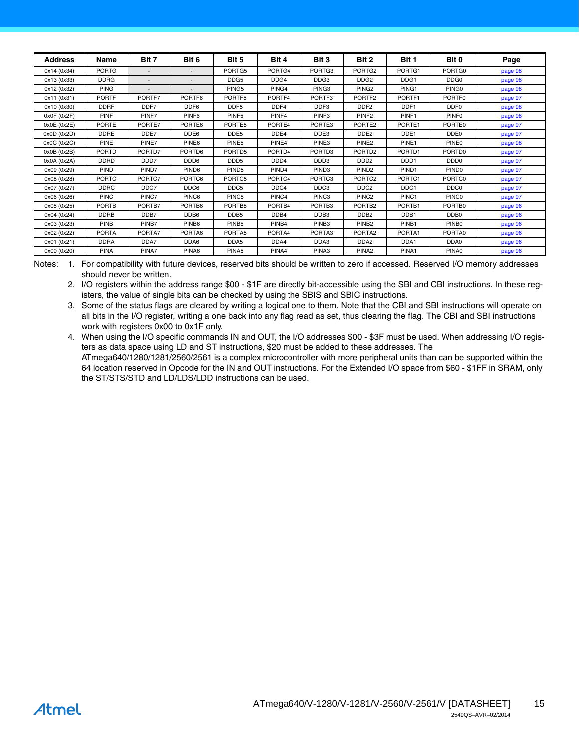| <b>Address</b> | Name         | Bit 7                    | Bit 6                    | Bit 5             | Bit 4             | Bit 3              | Bit 2              | Bit 1             | Bit 0             | Page    |
|----------------|--------------|--------------------------|--------------------------|-------------------|-------------------|--------------------|--------------------|-------------------|-------------------|---------|
| 0x14 (0x34)    | <b>PORTG</b> |                          |                          | PORTG5            | PORTG4            | PORTG3             | PORTG <sub>2</sub> | PORTG1            | PORTG0            | page 98 |
| 0x13 (0x33)    | <b>DDRG</b>  | $\overline{\phantom{0}}$ | $\overline{\phantom{a}}$ | DDG5              | DDG4              | DDG <sub>3</sub>   | DDG <sub>2</sub>   | DDG1              | DDG <sub>0</sub>  | page 98 |
| 0x12 (0x32)    | <b>PING</b>  | $\overline{\phantom{0}}$ | $\overline{\phantom{a}}$ | PING5             | PING4             | PING3              | PING <sub>2</sub>  | PING1             | PING0             | page 98 |
| 0x11 (0x31)    | <b>PORTF</b> | PORTF7                   | PORTF6                   | PORTF5            | PORTF4            | PORTF <sub>3</sub> | PORTF <sub>2</sub> | PORTF1            | PORTF0            | page 97 |
| 0x10 (0x30)    | <b>DDRF</b>  | DDF7                     | DDF <sub>6</sub>         | DDF <sub>5</sub>  | DDF4              | DDF3               | DDF <sub>2</sub>   | DDF1              | DDF <sub>0</sub>  | page 98 |
| 0x0F(0x2F)     | PINF         | PINF7                    | PINF <sub>6</sub>        | PINF <sub>5</sub> | PINF4             | PINF <sub>3</sub>  | PINF <sub>2</sub>  | PINF <sub>1</sub> | PINF <sub>0</sub> | page 98 |
| 0x0E (0x2E)    | <b>PORTE</b> | PORTE7                   | PORTE6                   | PORTE5            | PORTE4            | PORTE3             | PORTE2             | PORTE1            | PORTE0            | page 97 |
| 0x0D(0x2D)     | <b>DDRE</b>  | DDE7                     | DDE6                     | DDE5              | DDE4              | DDE3               | DDE <sub>2</sub>   | DDE1              | DDE0              | page 97 |
| 0x0C (0x2C)    | <b>PINE</b>  | PINE7                    | PINE <sub>6</sub>        | PINE5             | PINE4             | PINE3              | PINE <sub>2</sub>  | PINE1             | PINE0             | page 98 |
| 0x0B(0x2B)     | <b>PORTD</b> | PORTD7                   | PORTD6                   | PORTD5            | PORTD4            | PORTD <sub>3</sub> | PORTD <sub>2</sub> | PORTD1            | PORTD0            | page 97 |
| 0x0A (0x2A)    | <b>DDRD</b>  | DDD7                     | DDD6                     | DDD <sub>5</sub>  | DDD <sub>4</sub>  | DD <sub>D</sub> 3  | DDD <sub>2</sub>   | DDD <sub>1</sub>  | DDD <sub>0</sub>  | page 97 |
| 0x09 (0x29)    | <b>PIND</b>  | PIND7                    | PIND <sub>6</sub>        | PIND <sub>5</sub> | PIND <sub>4</sub> | PIND3              | PIND <sub>2</sub>  | PIND <sub>1</sub> | PIND <sub>0</sub> | page 97 |
| 0x08 (0x28)    | <b>PORTC</b> | PORTC7                   | PORTC6                   | PORTC5            | PORTC4            | PORTC <sub>3</sub> | PORTC <sub>2</sub> | PORTC1            | PORTC0            | page 97 |
| 0x07 (0x27)    | <b>DDRC</b>  | DDC7                     | DDC6                     | DDC5              | DDC4              | DDC <sub>3</sub>   | DDC <sub>2</sub>   | DDC1              | DDC <sub>0</sub>  | page 97 |
| 0x06 (0x26)    | <b>PINC</b>  | PINC7                    | PINC6                    | PINC5             | PINC4             | PINC3              | PINC <sub>2</sub>  | PINC1             | PINC <sub>0</sub> | page 97 |
| 0x05 (0x25)    | <b>PORTB</b> | PORTB7                   | PORTB6                   | PORTB5            | PORTB4            | PORTB3             | PORTB <sub>2</sub> | PORTB1            | PORTB0            | page 96 |
| 0x04 (0x24)    | <b>DDRB</b>  | DDB7                     | DDB <sub>6</sub>         | DDB <sub>5</sub>  | DDB4              | DDB <sub>3</sub>   | DDB <sub>2</sub>   | DDB1              | DDB <sub>0</sub>  | page 96 |
| 0x03 (0x23)    | <b>PINB</b>  | PINB7                    | PINB <sub>6</sub>        | PINB <sub>5</sub> | PINB4             | PINB <sub>3</sub>  | PINB <sub>2</sub>  | PINB1             | PINB <sub>0</sub> | page 96 |
| 0x02 (0x22)    | <b>PORTA</b> | PORTA7                   | PORTA6                   | PORTA5            | PORTA4            | PORTA3             | PORTA2             | PORTA1            | PORTA0            | page 96 |
| 0x01 (0x21)    | <b>DDRA</b>  | DDA7                     | DDA6                     | DDA5              | DDA4              | DDA3               | DDA <sub>2</sub>   | DDA1              | DDA0              | page 96 |
| 0x00 (0x20)    | <b>PINA</b>  | PINA7                    | PINA6                    | PINA <sub>5</sub> | PINA4             | PINA3              | PINA <sub>2</sub>  | PINA1             | PINA0             | page 96 |

Notes: 1. For compatibility with future devices, reserved bits should be written to zero if accessed. Reserved I/O memory addresses should never be written.

2. I/O registers within the address range \$00 - \$1F are directly bit-accessible using the SBI and CBI instructions. In these registers, the value of single bits can be checked by using the SBIS and SBIC instructions.

3. Some of the status flags are cleared by writing a logical one to them. Note that the CBI and SBI instructions will operate on all bits in the I/O register, writing a one back into any flag read as set, thus clearing the flag. The CBI and SBI instructions work with registers 0x00 to 0x1F only.

4. When using the I/O specific commands IN and OUT, the I/O addresses \$00 - \$3F must be used. When addressing I/O registers as data space using LD and ST instructions, \$20 must be added to these addresses. The ATmega640/1280/1281/2560/2561 is a complex microcontroller with more peripheral units than can be supported within the 64 location reserved in Opcode for the IN and OUT instructions. For the Extended I/O space from \$60 - \$1FF in SRAM, only the ST/STS/STD and LD/LDS/LDD instructions can be used.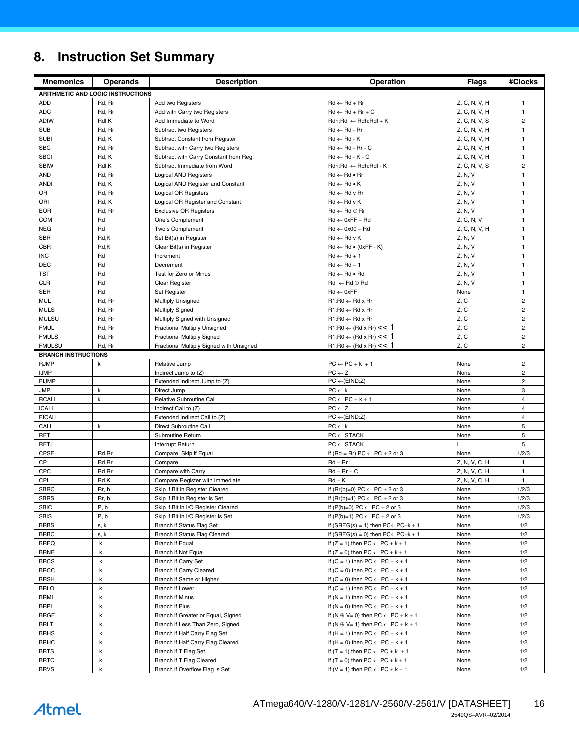# **8. Instruction Set Summary**

| <b>Mnemonics</b>                          | <b>Operands</b>                          | <b>Description</b>                                               | Operation                                                                                              | <b>Flags</b>       | #Clocks                      |
|-------------------------------------------|------------------------------------------|------------------------------------------------------------------|--------------------------------------------------------------------------------------------------------|--------------------|------------------------------|
|                                           | <b>ARITHMETIC AND LOGIC INSTRUCTIONS</b> |                                                                  |                                                                                                        |                    |                              |
| <b>ADD</b>                                | Rd, Rr                                   | Add two Registers                                                | $Rd \leftarrow Rd + Rr$                                                                                | Z, C, N, V, H      | $\mathbf{1}$                 |
| <b>ADC</b>                                | Rd, Rr                                   | Add with Carry two Registers                                     | $Rd \leftarrow Rd + Rr + C$                                                                            | Z, C, N, V, H      | $\mathbf{1}$                 |
| <b>ADIW</b>                               | Rdl,K                                    | Add Immediate to Word                                            | Rdh:Rdl ← Rdh:Rdl + K                                                                                  | Z, C, N, V, S      | $\overline{c}$               |
| <b>SUB</b>                                | Rd, Rr                                   | Subtract two Registers                                           | $Rd \leftarrow Rd - Rr$                                                                                | Z, C, N, V, H      | $\mathbf{1}$                 |
| <b>SUBI</b>                               | Rd, K                                    | Subtract Constant from Register                                  | $Rd \leftarrow Rd - K$                                                                                 | Z, C, N, V, H      | $\mathbf{1}$                 |
| <b>SBC</b>                                | Rd, Rr                                   | Subtract with Carry two Registers                                | $Rd \leftarrow Rd - Rr - C$                                                                            | Z, C, N, V, H      | $\mathbf{1}$                 |
| <b>SBCI</b>                               | Rd, K                                    | Subtract with Carry Constant from Reg.                           | $Rd \leftarrow Rd - K - C$                                                                             | Z, C, N, V, H      | $\mathbf{1}$                 |
| <b>SBIW</b>                               | Rdl,K                                    | Subtract Immediate from Word                                     | Rdh:Rdl ← Rdh:Rdl - K                                                                                  | Z, C, N, V, S      | $\overline{2}$               |
| <b>AND</b>                                | Rd, Rr                                   | <b>Logical AND Registers</b>                                     | $Rd \leftarrow Rd \bullet Rr$                                                                          | Z, N, V            | $\mathbf{1}$                 |
| <b>ANDI</b><br>OR                         | Rd, K<br>Rd, Rr                          | Logical AND Register and Constant<br><b>Logical OR Registers</b> | $Rd \leftarrow Rd \bullet K$<br>$Rd \leftarrow Rd$ v $Rr$                                              | Z, N, V<br>Z, N, V | $\mathbf{1}$<br>$\mathbf{1}$ |
| ORI                                       | Rd, K                                    | Logical OR Register and Constant                                 | $Rd \leftarrow Rd$ v K                                                                                 | Z, N, V            | $\mathbf{1}$                 |
| <b>EOR</b>                                | Rd, Rr                                   | <b>Exclusive OR Registers</b>                                    | $Rd \leftarrow Rd \oplus Rr$                                                                           | Z, N, V            | $\mathbf{1}$                 |
| <b>COM</b>                                | Rd                                       | One's Complement                                                 | $Rd \leftarrow 0xFF - Rd$                                                                              | Z, C, N, V         | $\mathbf{1}$                 |
| <b>NEG</b>                                | Rd                                       | Two's Complement                                                 | $Rd \leftarrow 0x00 - Rd$                                                                              | Z, C, N, V, H      | $\mathbf{1}$                 |
| <b>SBR</b>                                | Rd,K                                     | Set Bit(s) in Register                                           | $Rd \leftarrow Rd$ v $K$                                                                               | Z, N, V            | $\mathbf{1}$                 |
| <b>CBR</b>                                | Rd,K                                     | Clear Bit(s) in Register                                         | $Rd \leftarrow Rd \bullet (0xFF - K)$                                                                  | Z, N, V            | $\mathbf{1}$                 |
| <b>INC</b>                                | Rd                                       | Increment                                                        | $Rd \leftarrow Rd + 1$                                                                                 | Z, N, V            | $\mathbf{1}$                 |
| <b>DEC</b>                                | Rd                                       | Decrement                                                        | $Rd \leftarrow Rd - 1$                                                                                 | Z, N, V            | $\mathbf{1}$                 |
| TST                                       | Rd                                       | Test for Zero or Minus                                           | $\mathsf{Rd} \leftarrow \mathsf{Rd} \bullet \mathsf{Rd}$                                               | Z, N, V            | $\mathbf{1}$                 |
| <b>CLR</b>                                | Rd                                       | Clear Register                                                   | $Rd \leftarrow Rd \oplus Rd$                                                                           | Z, N, V            | $\mathbf{1}$                 |
| <b>SER</b>                                | Rd                                       | Set Register                                                     | $Rd \leftarrow 0xFF$                                                                                   | None               | $\mathbf{1}$                 |
| MUL                                       | Rd, Rr                                   | <b>Multiply Unsigned</b>                                         | $R1:R0 \leftarrow Rd \times Rr$                                                                        | Z, C               | $\overline{c}$               |
| <b>MULS</b>                               | Rd, Rr                                   | <b>Multiply Signed</b>                                           | $R1:R0 \leftarrow Rd \times Rr$                                                                        | Z, C               | $\overline{\mathbf{c}}$      |
| <b>MULSU</b>                              | Rd, Rr                                   | Multiply Signed with Unsigned                                    | $R1:R0 \leftarrow Rd \times Rr$                                                                        | Z, C               | $\overline{2}$               |
| <b>FMUL</b>                               | Rd, Rr                                   | Fractional Multiply Unsigned                                     | $R1:R0 \leftarrow (Rd \times Rr) \leq 1$                                                               | Z, C               | $\overline{c}$               |
| <b>FMULS</b>                              | Rd, Rr                                   | <b>Fractional Multiply Signed</b>                                | $R1:R0 \leftarrow (Rd \times Rr) \leq 1$                                                               | Z, C               | $\overline{c}$               |
| <b>FMULSU</b>                             | Rd, Rr                                   | Fractional Multiply Signed with Unsigned                         | $R1:R0 \leftarrow (Rd \times Rr) \leq 1$                                                               | Z, C               | $\overline{c}$               |
| <b>BRANCH INSTRUCTIONS</b><br><b>RJMP</b> | k                                        |                                                                  | $PC \leftarrow PC + k + 1$                                                                             | None               | $\overline{c}$               |
| <b>IJMP</b>                               |                                          | Relative Jump<br>Indirect Jump to (Z)                            | $PC \leftarrow Z$                                                                                      | None               | $\overline{2}$               |
| <b>EIJMP</b>                              |                                          | Extended Indirect Jump to (Z)                                    | $PC \leftarrow (EIND:Z)$                                                                               | None               | $\overline{c}$               |
| <b>JMP</b>                                | k                                        | Direct Jump                                                      | $PC \leftarrow k$                                                                                      | None               | 3                            |
| <b>RCALL</b>                              | k                                        | Relative Subroutine Call                                         | $PC \leftarrow PC + k + 1$                                                                             | None               | $\overline{4}$               |
| <b>ICALL</b>                              |                                          | Indirect Call to (Z)                                             | $PC \leftarrow Z$                                                                                      | None               | $\overline{4}$               |
| <b>EICALL</b>                             |                                          | Extended Indirect Call to (Z)                                    | $PC \leftarrow (EIND:Z)$                                                                               | None               | $\overline{4}$               |
| CALL                                      | k                                        | Direct Subroutine Call                                           | $PC \leftarrow k$                                                                                      | None               | 5                            |
| RET                                       |                                          | Subroutine Return                                                | $PC \leftarrow$ STACK                                                                                  | None               | 5                            |
| RETI                                      |                                          | Interrupt Return                                                 | $PC \leftarrow$ STACK                                                                                  |                    | 5                            |
| <b>CPSE</b>                               | Rd, Rr                                   | Compare, Skip if Equal                                           | if (Rd = Rr) PC $\leftarrow$ PC + 2 or 3                                                               | None               | 1/2/3                        |
| CP                                        | Rd, Rr                                   | Compare                                                          | $Rd - Rr$                                                                                              | Z, N, V, C, H      | $\mathbf{1}$                 |
| CPC                                       | Rd, Rr                                   | Compare with Carry                                               | $Rd - Rr - C$                                                                                          | Z, N, V, C, H      | $\mathbf{1}$                 |
| CPI                                       | Rd,K                                     | Compare Register with Immediate                                  | $Rd - K$                                                                                               | Z, N, V, C, H      | $\mathbf{1}$                 |
| <b>SBRC</b>                               | Rr, b                                    | Skip if Bit in Register Cleared                                  | if (Rr(b)=0) PC $\leftarrow$ PC + 2 or 3                                                               | None               | 1/2/3                        |
| SBRS                                      | Rr, b                                    | Skip if Bit in Register is Set                                   | if $(Rr(b)=1) PC \leftarrow PC + 2$ or 3                                                               | None               | 1/2/3                        |
| <b>SBIC</b>                               | P, b                                     | Skip if Bit in I/O Register Cleared                              | if $(P(b)=0) PC \leftarrow PC + 2$ or 3                                                                | None               | 1/2/3                        |
| <b>SBIS</b>                               | P, b                                     | Skip if Bit in I/O Register is Set                               | if $(P(b)=1) PC \leftarrow PC + 2$ or 3                                                                | None               | 1/2/3                        |
| <b>BRBS</b><br><b>BRBC</b>                | s, k<br>s, k                             | Branch if Status Flag Set<br>Branch if Status Flag Cleared       | if (SREG(s) = 1) then $PC \leftarrow PC + k + 1$<br>if $(SREG(s) = 0)$ then $PC \leftarrow PC + k + 1$ | None<br>None       | 1/2<br>1/2                   |
| <b>BREQ</b>                               | k                                        | Branch if Equal                                                  | if $(Z = 1)$ then $PC \leftarrow PC + k + 1$                                                           | None               | 1/2                          |
| <b>BRNE</b>                               | k                                        | Branch if Not Equal                                              | if $(Z = 0)$ then $PC \leftarrow PC + k + 1$                                                           | None               | 1/2                          |
| <b>BRCS</b>                               | k                                        | <b>Branch if Carry Set</b>                                       | if $(C = 1)$ then $PC \leftarrow PC + k + 1$                                                           | None               | 1/2                          |
| <b>BRCC</b>                               | k                                        | Branch if Carry Cleared                                          | if $(C = 0)$ then $PC \leftarrow PC + k + 1$                                                           | None               | 1/2                          |
| <b>BRSH</b>                               | k                                        | Branch if Same or Higher                                         | if $(C = 0)$ then $PC \leftarrow PC + k + 1$                                                           | None               | 1/2                          |
| <b>BRLO</b>                               | k                                        | <b>Branch if Lower</b>                                           | if $(C = 1)$ then $PC \leftarrow PC + k + 1$                                                           | None               | 1/2                          |
| BRMI                                      | k                                        | <b>Branch if Minus</b>                                           | if $(N = 1)$ then $PC \leftarrow PC + k + 1$                                                           | None               | 1/2                          |
| <b>BRPL</b>                               | k                                        | Branch if Plus                                                   | if $(N = 0)$ then $PC \leftarrow PC + k + 1$                                                           | None               | 1/2                          |
| <b>BRGE</b>                               | k                                        | Branch if Greater or Equal, Signed                               | if $(N \oplus V = 0)$ then $PC \leftarrow PC + k + 1$                                                  | None               | 1/2                          |
| <b>BRLT</b>                               | k                                        | Branch if Less Than Zero, Signed                                 | if $(N \oplus V = 1)$ then $PC \leftarrow PC + k + 1$                                                  | None               | 1/2                          |
| <b>BRHS</b>                               | k                                        | Branch if Half Carry Flag Set                                    | if $(H = 1)$ then $PC \leftarrow PC + k + 1$                                                           | None               | 1/2                          |
| <b>BRHC</b>                               | k                                        | Branch if Half Carry Flag Cleared                                | if $(H = 0)$ then $PC \leftarrow PC + k + 1$                                                           | None               | 1/2                          |
| <b>BRTS</b>                               | k                                        | Branch if T Flag Set                                             | if $(T = 1)$ then PC $\leftarrow$ PC + k + 1                                                           | None               | 1/2                          |
| <b>BRTC</b>                               | k                                        | Branch if T Flag Cleared                                         | if $(T = 0)$ then $PC \leftarrow PC + k + 1$                                                           | None               | 1/2                          |
| <b>BRVS</b>                               | k                                        | Branch if Overflow Flag is Set                                   | if $(V = 1)$ then $PC \leftarrow PC + k + 1$                                                           | None               | 1/2                          |

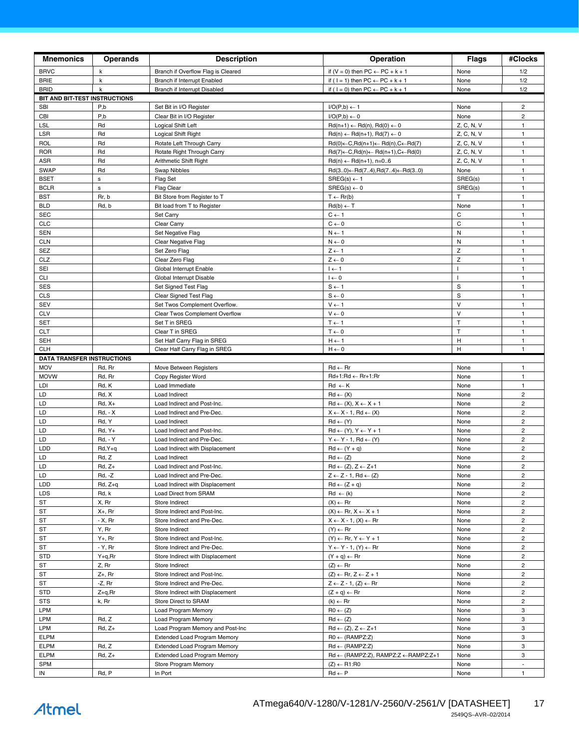| <b>Mnemonics</b>                  | <b>Operands</b>    | <b>Description</b>                                          | Operation                                                                                                 | <b>Flags</b>     | #Clocks                          |
|-----------------------------------|--------------------|-------------------------------------------------------------|-----------------------------------------------------------------------------------------------------------|------------------|----------------------------------|
| <b>BRVC</b>                       | k                  | Branch if Overflow Flag is Cleared                          | if $(V = 0)$ then $PC \leftarrow PC + k + 1$                                                              | None             | 1/2                              |
| <b>BRIE</b>                       | k                  | Branch if Interrupt Enabled                                 | if ( $1 = 1$ ) then $PC \leftarrow PC + k + 1$                                                            | None             | 1/2                              |
| <b>BRID</b>                       | $\mathsf{k}$       | Branch if Interrupt Disabled                                | if ( $1 = 0$ ) then $PC \leftarrow PC + k + 1$                                                            | None             | 1/2                              |
| BIT AND BIT-TEST INSTRUCTIONS     |                    |                                                             |                                                                                                           |                  |                                  |
| <b>SBI</b><br>CBI                 | P,b<br>P,b         | Set Bit in I/O Register                                     | $I/O(P,b) \leftarrow 1$<br>$I/O(P,b) \leftarrow 0$                                                        | None<br>None     | $\overline{c}$<br>$\overline{2}$ |
| <b>LSL</b>                        | Rd                 | Clear Bit in I/O Register<br>Logical Shift Left             | $Rd(n+1) \leftarrow Rd(n), Rd(0) \leftarrow 0$                                                            | Z, C, N, V       | $\mathbf{1}$                     |
| <b>LSR</b>                        | Rd                 | Logical Shift Right                                         | $Rd(n) \leftarrow Rd(n+1), Rd(7) \leftarrow 0$                                                            | Z, C, N, V       | $\mathbf{1}$                     |
| ROL                               | Rd                 | Rotate Left Through Carry                                   | $Rd(0) \leftarrow C, Rd(n+1) \leftarrow Rd(n), C \leftarrow Rd(7)$                                        | Z, C, N, V       | $\mathbf{1}$                     |
| <b>ROR</b>                        | Rd                 | Rotate Right Through Carry                                  | $Rd(7) \leftarrow C, Rd(n) \leftarrow Rd(n+1), C \leftarrow Rd(0)$                                        | Z, C, N, V       | $\mathbf{1}$                     |
| ASR                               | Rd                 | Arithmetic Shift Right                                      | $Rd(n) \leftarrow Rd(n+1), n=06$                                                                          | Z, C, N, V       | $\mathbf{1}$                     |
| <b>SWAP</b>                       | Rd                 | Swap Nibbles                                                | $Rd(30) \leftarrow Rd(74), Rd(74) \leftarrow Rd(30)$                                                      | None             | $\mathbf{1}$                     |
| <b>BSET</b>                       | s                  | Flag Set                                                    | $SREG(s) \leftarrow 1$                                                                                    | SREG(s)          | $\mathbf{1}$                     |
| <b>BCLR</b>                       | $\sf s$            | <b>Flag Clear</b>                                           | $SREG(s) \leftarrow 0$                                                                                    | SREG(s)<br>T.    | $\mathbf{1}$<br>$\mathbf{1}$     |
| <b>BST</b><br><b>BLD</b>          | Rr, b<br>Rd, b     | Bit Store from Register to T<br>Bit load from T to Register | $T \leftarrow Rr(b)$<br>$Rd(b) \leftarrow T$                                                              | None             | $\mathbf{1}$                     |
| <b>SEC</b>                        |                    | Set Carry                                                   | $C \leftarrow 1$                                                                                          | С                | $\mathbf{1}$                     |
| <b>CLC</b>                        |                    | Clear Carry                                                 | $C \leftarrow 0$                                                                                          | C                | $\mathbf{1}$                     |
| <b>SEN</b>                        |                    | Set Negative Flag                                           | $N \leftarrow 1$                                                                                          | N                | $\mathbf{1}$                     |
| <b>CLN</b>                        |                    | Clear Negative Flag                                         | $N \leftarrow 0$                                                                                          | Ν                | $\mathbf{1}$                     |
| <b>SEZ</b>                        |                    | Set Zero Flag                                               | $Z \leftarrow 1$                                                                                          | Z                | $\mathbf{1}$                     |
| CLZ                               |                    | Clear Zero Flag                                             | $Z \leftarrow 0$                                                                                          | Z                | $\mathbf{1}$                     |
| SEI                               |                    | Global Interrupt Enable                                     | $I \leftarrow 1$                                                                                          | ı                | $\mathbf{1}$                     |
| <b>CLI</b>                        |                    | Global Interrupt Disable                                    | $I \leftarrow 0$                                                                                          |                  | $\mathbf{1}$                     |
| <b>SES</b><br><b>CLS</b>          |                    | Set Signed Test Flag<br><b>Clear Signed Test Flag</b>       | $S \leftarrow 1$<br>$S \leftarrow 0$                                                                      | $\mathbf S$<br>S | $\mathbf{1}$<br>$\mathbf{1}$     |
| <b>SEV</b>                        |                    | Set Twos Complement Overflow.                               | $V \leftarrow 1$                                                                                          | $\vee$           | $\mathbf{1}$                     |
| <b>CLV</b>                        |                    | Clear Twos Complement Overflow                              | $\mathsf{V}\leftarrow\mathsf{0}$                                                                          | $\vee$           | $\mathbf{1}$                     |
| <b>SET</b>                        |                    | Set T in SREG                                               | $T \leftarrow 1$                                                                                          | Т                | $\mathbf{1}$                     |
| <b>CLT</b>                        |                    | Clear T in SREG                                             | $T \leftarrow 0$                                                                                          | T.               | $\mathbf{1}$                     |
| <b>SEH</b>                        |                    | Set Half Carry Flag in SREG                                 | $H \leftarrow 1$                                                                                          | Н                | $\mathbf{1}$                     |
| <b>CLH</b>                        |                    | Clear Half Carry Flag in SREG                               | $H \leftarrow 0$                                                                                          | Н                | $\mathbf{1}$                     |
| <b>DATA TRANSFER INSTRUCTIONS</b> |                    |                                                             |                                                                                                           |                  |                                  |
| <b>MOV</b>                        | Rd, Rr             | Move Between Registers                                      | $Rd \leftarrow Rr$                                                                                        | None             | $\mathbf{1}$                     |
| <b>MOVW</b><br>LDI                | Rd, Rr<br>Rd, K    | Copy Register Word<br>Load Immediate                        | Rd+1:Rd ← Rr+1:Rr<br>$Rd \leftarrow K$                                                                    | None<br>None     | $\mathbf{1}$<br>$\mathbf{1}$     |
| LD                                | Rd, X              | Load Indirect                                               | $Rd \leftarrow (X)$                                                                                       | None             | $\mathbf 2$                      |
| LD                                | $Rd, X+$           | Load Indirect and Post-Inc.                                 | $Rd \leftarrow (X), X \leftarrow X + 1$                                                                   | None             | $\overline{c}$                   |
| LD                                | $Rd, -X$           | Load Indirect and Pre-Dec.                                  | $X \leftarrow X - 1$ , Rd $\leftarrow (X)$                                                                | None             | $\overline{c}$                   |
| LD                                | Rd, Y              | Load Indirect                                               | $Rd \leftarrow (Y)$                                                                                       | None             | $\overline{\mathbf{c}}$          |
| LD                                | $Rd, Y+$           | Load Indirect and Post-Inc.                                 | $Rd \leftarrow (Y), Y \leftarrow Y + 1$                                                                   | None             | $\overline{c}$                   |
| LD                                | <b>Rd. - Y</b>     | Load Indirect and Pre-Dec.                                  | $Y \leftarrow Y - 1$ , Rd $\leftarrow (Y)$                                                                | None             | $\overline{2}$                   |
| LDD                               | $Rd, Y+q$          | Load Indirect with Displacement                             | $Rd \leftarrow (Y + q)$                                                                                   | None             | $\overline{\mathbf{c}}$          |
| LD                                | Rd, Z              | Load Indirect                                               | $Rd \leftarrow (Z)$                                                                                       | None             | 2<br>$\overline{c}$              |
| LD<br>LD                          | $Rd, Z+$<br>Rd, -Z | Load Indirect and Post-Inc.<br>Load Indirect and Pre-Dec.   | $Rd \leftarrow (Z), Z \leftarrow Z+1$<br>$\overline{Z} \leftarrow \overline{Z} - 1$ , Rd $\leftarrow (Z)$ | None<br>None     | 2                                |
| LDD                               | $Rd, Z+q$          | Load Indirect with Displacement                             | $Rd \leftarrow (Z + q)$                                                                                   | None             | $\overline{2}$                   |
| LDS                               | Rd, k              | Load Direct from SRAM                                       | $Rd \leftarrow (k)$                                                                                       | None             | $\overline{c}$                   |
| ST                                | X, Rr              | Store Indirect                                              | $(X) \leftarrow Rr$                                                                                       | None             | $\overline{c}$                   |
| ST                                | X+, Rr             | Store Indirect and Post-Inc.                                | $(X) \leftarrow$ Rr, $X \leftarrow X + 1$                                                                 | None             | 2                                |
| ST                                | - X, Rr            | Store Indirect and Pre-Dec.                                 | $X \leftarrow X - 1$ , $(X) \leftarrow Rr$                                                                | None             | $\overline{c}$                   |
| ST                                | Y, Rr              | Store Indirect                                              | $(Y) \leftarrow Rr$                                                                                       | None             | $\overline{c}$                   |
| ST                                | Y+, Rr             | Store Indirect and Post-Inc.                                | $(Y) \leftarrow$ Rr, $Y \leftarrow Y + 1$                                                                 | None             | $\overline{2}$                   |
| ST                                | - Y, Rr            | Store Indirect and Pre-Dec.                                 | $Y \leftarrow Y - 1$ , $(Y) \leftarrow Rr$                                                                | None             | $\overline{c}$                   |
| <b>STD</b><br>ST                  | Y+q,Rr<br>Z, Rr    | Store Indirect with Displacement<br>Store Indirect          | $(Y + q) \leftarrow Rr$<br>$(Z)$ ← Rr                                                                     | None<br>None     | 2<br>$\overline{2}$              |
| ST                                | Z+, Rr             | Store Indirect and Post-Inc.                                | $(Z) \leftarrow \text{Rr}, Z \leftarrow Z + 1$                                                            | None             | $\overline{c}$                   |
| ST                                | -Z, Rr             | Store Indirect and Pre-Dec.                                 | $Z \leftarrow Z - 1$ , $(Z) \leftarrow Rr$                                                                | None             | $\overline{c}$                   |
| <b>STD</b>                        | $Z + q, Rr$        | Store Indirect with Displacement                            | $(Z + q) \leftarrow Rr$                                                                                   | None             | $\overline{2}$                   |
| <b>STS</b>                        | k, Rr              | Store Direct to SRAM                                        | $(k) \leftarrow Rr$                                                                                       | None             | $\overline{c}$                   |
| LPM                               |                    | Load Program Memory                                         | $R0 \leftarrow (Z)$                                                                                       | None             | 3                                |
| LPM                               | Rd, Z              | Load Program Memory                                         | $Rd \leftarrow (Z)$                                                                                       | None             | 3                                |
| LPM                               | $Rd, Z+$           | Load Program Memory and Post-Inc                            | $Rd \leftarrow (Z), Z \leftarrow Z+1$                                                                     | None             | 3                                |
| <b>ELPM</b>                       |                    | Extended Load Program Memory                                | $RO \leftarrow (RAMPZ:Z)$                                                                                 | None             | 3                                |
| <b>ELPM</b>                       | Rd, Z              | <b>Extended Load Program Memory</b>                         | $Rd \leftarrow (RAMPZ:Z)$                                                                                 | None             | 3<br>3                           |
| <b>ELPM</b><br><b>SPM</b>         | $Rd, Z+$           | <b>Extended Load Program Memory</b><br>Store Program Memory | $Rd \leftarrow (RAMPZ:Z), RAMPZ:Z \leftarrow RAMPZ:Z+1$<br>$(Z) \leftarrow R1:R0$                         | None<br>None     |                                  |
| IN                                | Rd, P              | In Port                                                     | $Rd \leftarrow P$                                                                                         | None             | $\mathbf{1}$                     |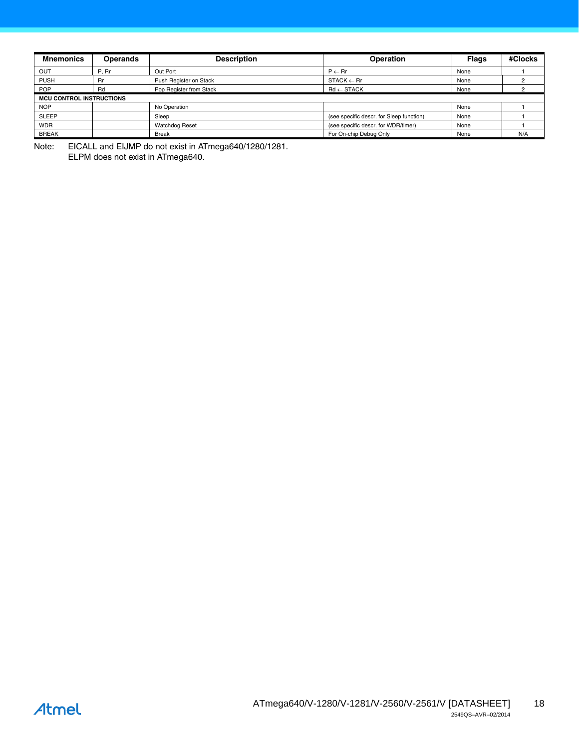| <b>Mnemonics</b>                | <b>Operands</b> | <b>Description</b>      | <b>Operation</b>                         | <b>Flags</b> | #Clocks |
|---------------------------------|-----------------|-------------------------|------------------------------------------|--------------|---------|
| OUT                             | P, Rr           | Out Port                | $P \leftarrow Rr$                        | None         |         |
| <b>PUSH</b>                     | Rr              | Push Register on Stack  | $STACK \leftarrow$ Rr                    | None         |         |
| <b>POP</b>                      | Rd              | Pop Register from Stack | $Rd \leftarrow$ STACK                    | None         |         |
| <b>MCU CONTROL INSTRUCTIONS</b> |                 |                         |                                          |              |         |
| <b>NOP</b>                      |                 | No Operation            |                                          | None         |         |
| <b>SLEEP</b>                    |                 | Sleep                   | (see specific descr. for Sleep function) | None         |         |
| <b>WDR</b>                      |                 | <b>Watchdog Reset</b>   | (see specific descr. for WDR/timer)      | None         |         |
| <b>BREAK</b>                    |                 | <b>Break</b>            | For On-chip Debug Only                   | None         | N/A     |

Note: EICALL and EIJMP do not exist in ATmega640/1280/1281. ELPM does not exist in ATmega640.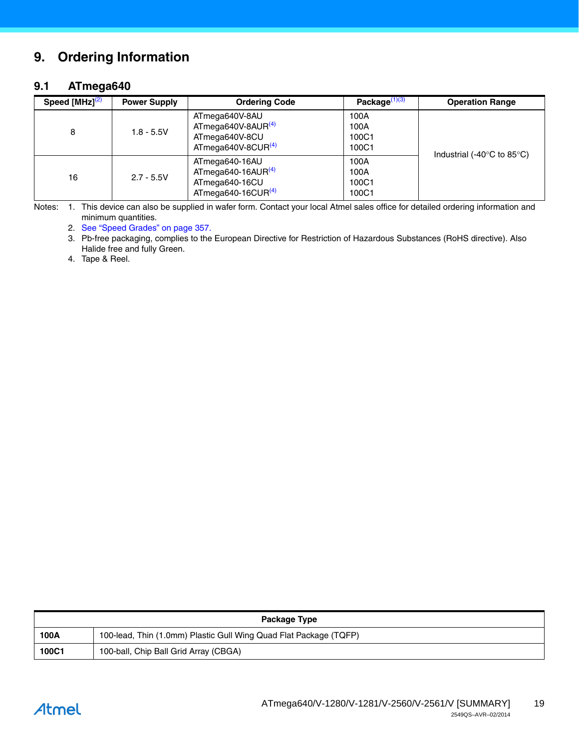# **9. Ordering Information**

## **9.1 ATmega640**

| Speed [MHz] <sup>(2)</sup> | <b>Power Supply</b> | <b>Ordering Code</b>                                                                        | Package $(1)(3)$               | <b>Operation Range</b>                         |
|----------------------------|---------------------|---------------------------------------------------------------------------------------------|--------------------------------|------------------------------------------------|
| 8                          | $1.8 - 5.5V$        | ATmega640V-8AU<br>ATmega640V-8AUR <sup>(4)</sup><br>ATmega640V-8CU<br>ATmega640V-8CUR $(4)$ | 100A<br>100A<br>100C1<br>100C1 | Industrial (-40 $\degree$ C to 85 $\degree$ C) |
| 16                         | $2.7 - 5.5V$        | ATmega640-16AU<br>ATmega640-16AUR $(4)$<br>ATmega640-16CU<br>ATmega640-16CUR $(4)$          | 100A<br>100A<br>100C1<br>100C1 |                                                |

<span id="page-18-2"></span><span id="page-18-1"></span><span id="page-18-0"></span>Notes: 1. This device can also be supplied in wafer form. Contact your local Atmel sales office for detailed ordering information and minimum quantities.

2. See "Speed Grades" on page 357.

3. Pb-free packaging, complies to the European Directive for Restriction of Hazardous Substances (RoHS directive). Also Halide free and fully Green.

<span id="page-18-3"></span>4. Tape & Reel.

| Package Type |                                                                   |  |  |
|--------------|-------------------------------------------------------------------|--|--|
| 100A         | 100-lead, Thin (1.0mm) Plastic Gull Wing Quad Flat Package (TQFP) |  |  |
| 100C1        | 100-ball, Chip Ball Grid Array (CBGA)                             |  |  |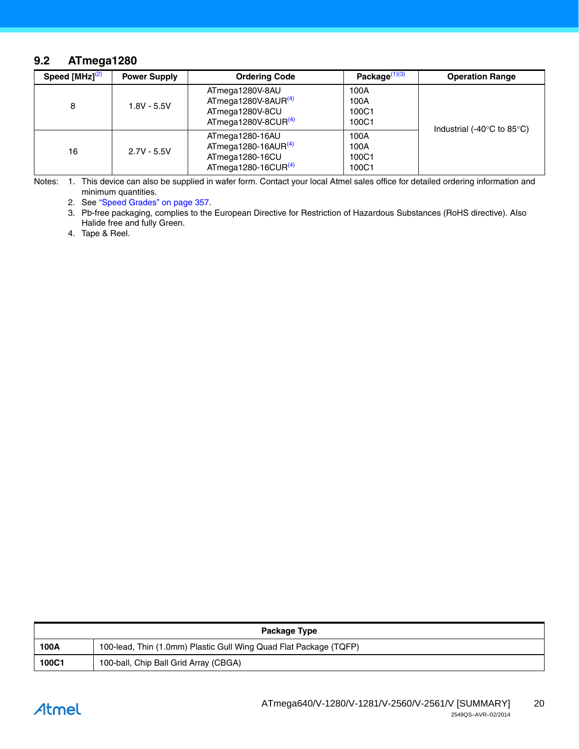# **9.2 ATmega1280**

| Speed [MHz] <sup>(2)</sup> | <b>Power Supply</b> | <b>Ordering Code</b>                                                                   | Package $(1)(3)$               | <b>Operation Range</b>                         |
|----------------------------|---------------------|----------------------------------------------------------------------------------------|--------------------------------|------------------------------------------------|
| 8                          | $1.8V - 5.5V$       | ATmega1280V-8AU<br>$ATmega1280V-8AUR(4)$<br>ATmega1280V-8CU<br>ATmega1280V-8CUR $(4)$  | 100A<br>100A<br>100C1<br>100C1 | Industrial (-40 $\degree$ C to 85 $\degree$ C) |
| 16                         | $2.7V - 5.5V$       | ATmega1280-16AU<br>ATmega1280-16AUR $(4)$<br>ATmega1280-16CU<br>ATmega1280-16CUR $(4)$ | 100A<br>100A<br>100C1<br>100C1 |                                                |

Notes: 1. This device can also be supplied in wafer form. Contact your local Atmel sales office for detailed ordering information and minimum quantities.

2. See "Speed Grades" on page 357.

3. Pb-free packaging, complies to the European Directive for Restriction of Hazardous Substances (RoHS directive). Also Halide free and fully Green.

<span id="page-19-0"></span>4. Tape & Reel.

| Package Type |                                                                   |  |  |
|--------------|-------------------------------------------------------------------|--|--|
| 100A         | 100-lead, Thin (1.0mm) Plastic Gull Wing Quad Flat Package (TQFP) |  |  |
| 100C1        | 100-ball, Chip Ball Grid Array (CBGA)                             |  |  |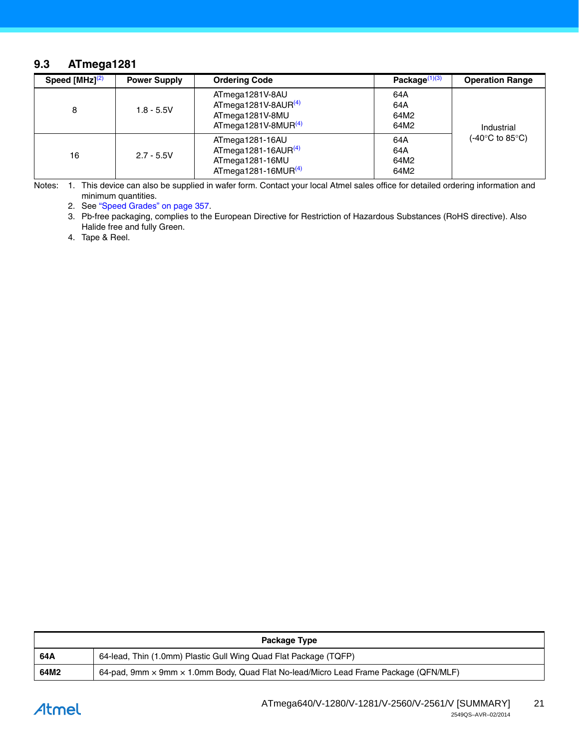# **9.3 ATmega1281**

| Speed [MHz] <sup>(2)</sup> | <b>Power Supply</b>                                                                                   | <b>Ordering Code</b>                                                                   | Package $(1)(3)$           | <b>Operation Range</b>              |
|----------------------------|-------------------------------------------------------------------------------------------------------|----------------------------------------------------------------------------------------|----------------------------|-------------------------------------|
| 8                          | ATmega1281V-8AU<br>$ATmega1281V-8AUR(4)$<br>$1.8 - 5.5V$<br>ATmega1281V-8MU<br>ATmega1281V-8MUR $(4)$ |                                                                                        | 64A<br>64A<br>64M2<br>64M2 | Industrial                          |
| 16                         | $2.7 - 5.5V$                                                                                          | ATmega1281-16AU<br>ATmega1281-16AUR $(4)$<br>ATmega1281-16MU<br>ATmega1281-16MUR $(4)$ | 64A<br>64A<br>64M2<br>64M2 | (-40 $\degree$ C to 85 $\degree$ C) |

<span id="page-20-2"></span><span id="page-20-1"></span><span id="page-20-0"></span>Notes: 1. This device can also be supplied in wafer form. Contact your local Atmel sales office for detailed ordering information and minimum quantities.

2. See "Speed Grades" on page 357.

3. Pb-free packaging, complies to the European Directive for Restriction of Hazardous Substances (RoHS directive). Also Halide free and fully Green.

<span id="page-20-3"></span>4. Tape & Reel.

| Package Type |                                                                                                    |  |  |
|--------------|----------------------------------------------------------------------------------------------------|--|--|
| 64A          | 64-lead, Thin (1.0mm) Plastic Gull Wing Quad Flat Package (TQFP)                                   |  |  |
| 64M2         | 64-pad, 9mm $\times$ 9mm $\times$ 1.0mm Body, Quad Flat No-lead/Micro Lead Frame Package (QFN/MLF) |  |  |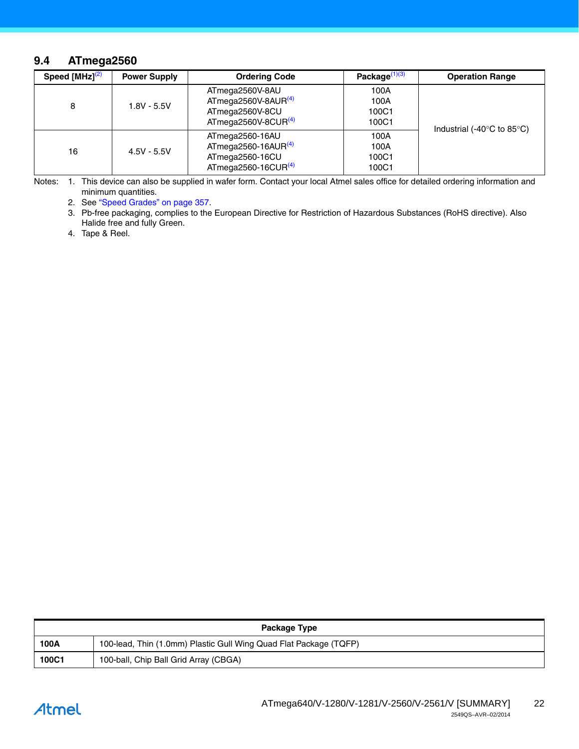# **9.4 ATmega2560**

| Speed [MHz] <sup>(2)</sup> | <b>Power Supply</b> | <b>Ordering Code</b>                                                                            | Package $(1)(3)$               | <b>Operation Range</b>                         |
|----------------------------|---------------------|-------------------------------------------------------------------------------------------------|--------------------------------|------------------------------------------------|
| 8                          | $1.8V - 5.5V$       | ATmega2560V-8AU<br>ATmega2560V-8AUR <sup>(4)</sup><br>ATmega2560V-8CU<br>ATmega2560V-8CUR $(4)$ | 100A<br>100A<br>100C1<br>100C1 | Industrial (-40 $\degree$ C to 85 $\degree$ C) |
| 16                         | $4.5V - 5.5V$       | ATmega2560-16AU<br>ATmega2560-16AUR $(4)$<br>ATmega2560-16CU<br>ATmega2560-16CUR $(4)$          | 100A<br>100A<br>100C1<br>100C1 |                                                |

Notes: 1. This device can also be supplied in wafer form. Contact your local Atmel sales office for detailed ordering information and minimum quantities.

2. See "Speed Grades" on page 357.

3. Pb-free packaging, complies to the European Directive for Restriction of Hazardous Substances (RoHS directive). Also Halide free and fully Green.

<span id="page-21-0"></span>4. Tape & Reel.

| Package Type |                                                                   |  |
|--------------|-------------------------------------------------------------------|--|
| 100A         | 100-lead, Thin (1.0mm) Plastic Gull Wing Quad Flat Package (TQFP) |  |
| 100C1        | 100-ball, Chip Ball Grid Array (CBGA)                             |  |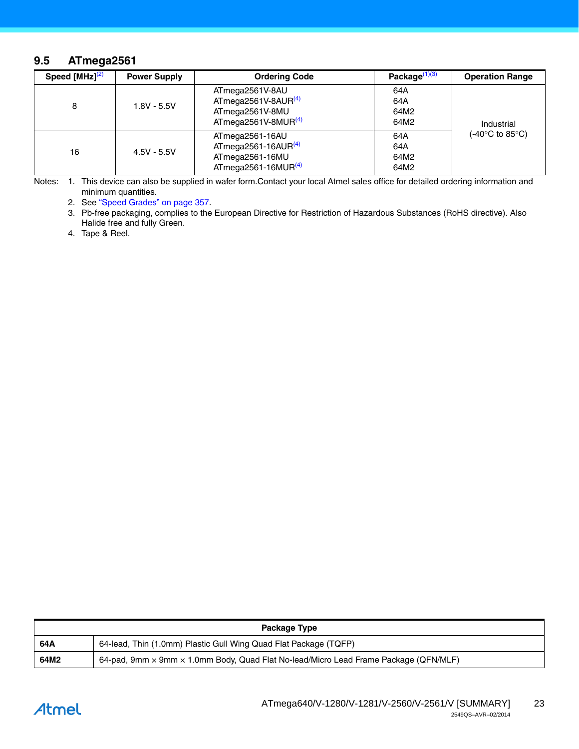## **9.5 ATmega2561**

| Speed [MHz] <sup>(2)</sup> | <b>Power Supply</b> | <b>Ordering Code</b>                                                                   | Package $(1)(3)$           | <b>Operation Range</b>              |
|----------------------------|---------------------|----------------------------------------------------------------------------------------|----------------------------|-------------------------------------|
| 8                          | $1.8V - 5.5V$       | ATmega2561V-8AU<br>$ATmega2561V-8AUR(4)$<br>ATmega2561V-8MU<br>ATmega2561V-8MUR $(4)$  | 64A<br>64A<br>64M2<br>64M2 | Industrial                          |
| 16                         | $4.5V - 5.5V$       | ATmega2561-16AU<br>ATmega2561-16AUR $(4)$<br>ATmega2561-16MU<br>ATmega2561-16MUR $(4)$ | 64A<br>64A<br>64M2<br>64M2 | (-40 $\degree$ C to 85 $\degree$ C) |

Notes: 1. This device can also be supplied in wafer form.Contact your local Atmel sales office for detailed ordering information and minimum quantities.

2. See "Speed Grades" on page 357.

3. Pb-free packaging, complies to the European Directive for Restriction of Hazardous Substances (RoHS directive). Also Halide free and fully Green.

<span id="page-22-0"></span>4. Tape & Reel.

| Package Type |                                                                                      |  |
|--------------|--------------------------------------------------------------------------------------|--|
| 64A          | 64-lead, Thin (1.0mm) Plastic Gull Wing Quad Flat Package (TQFP)                     |  |
| 64M2         | 64-pad, 9mm x 9mm x 1.0mm Body, Quad Flat No-lead/Micro Lead Frame Package (QFN/MLF) |  |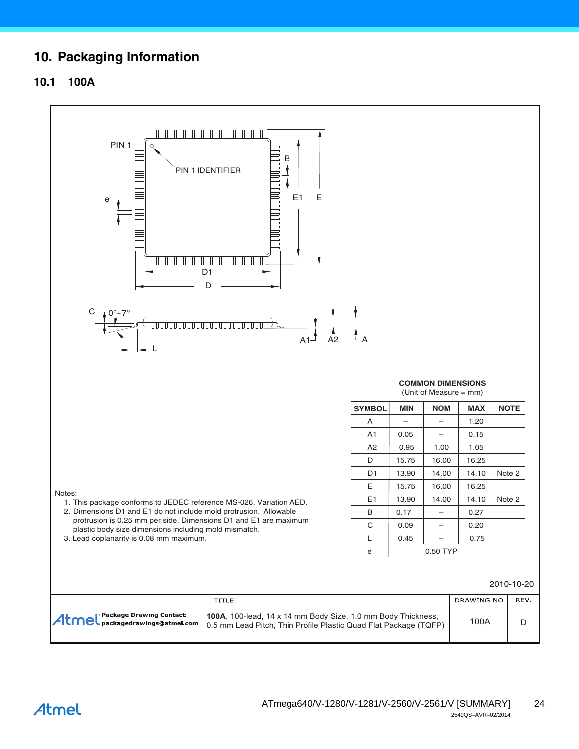# **10. Packaging Information**

## **10.1 100A**

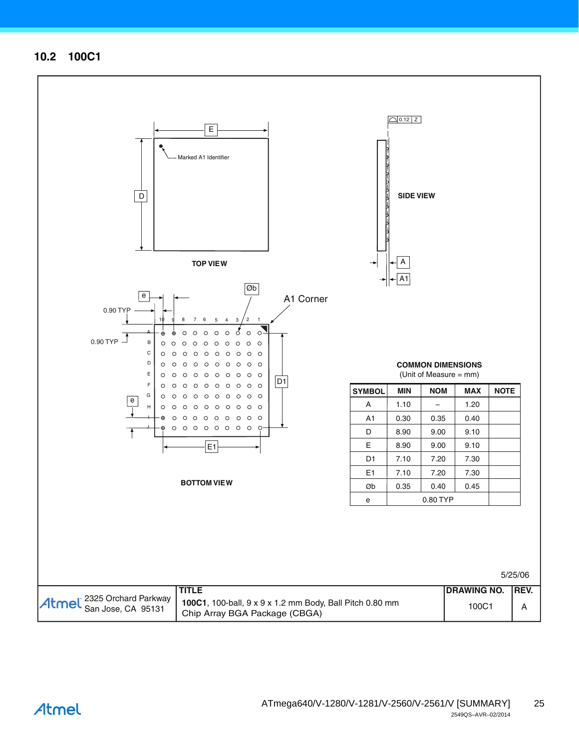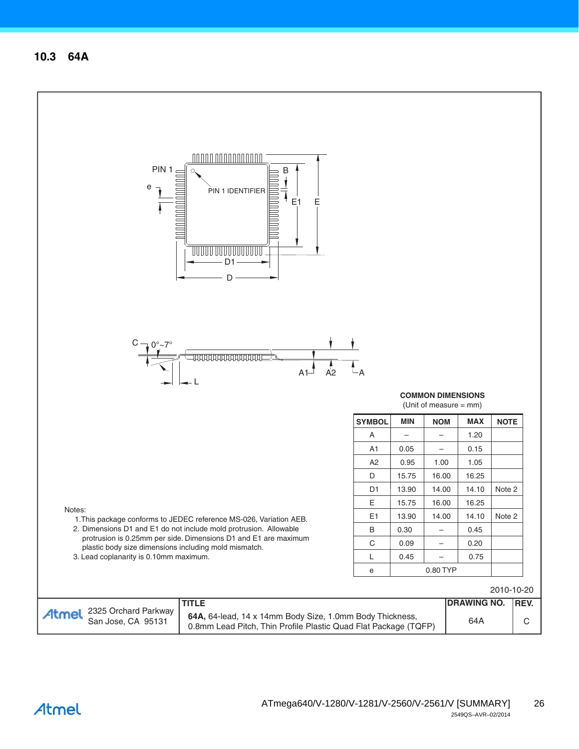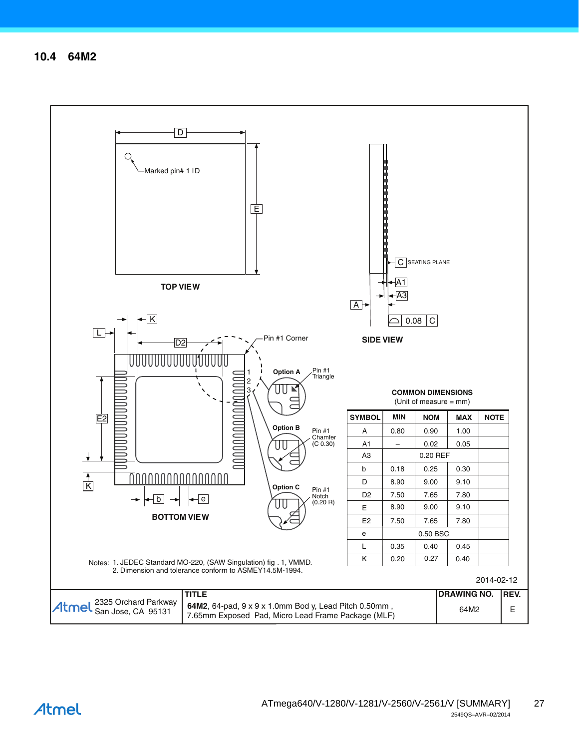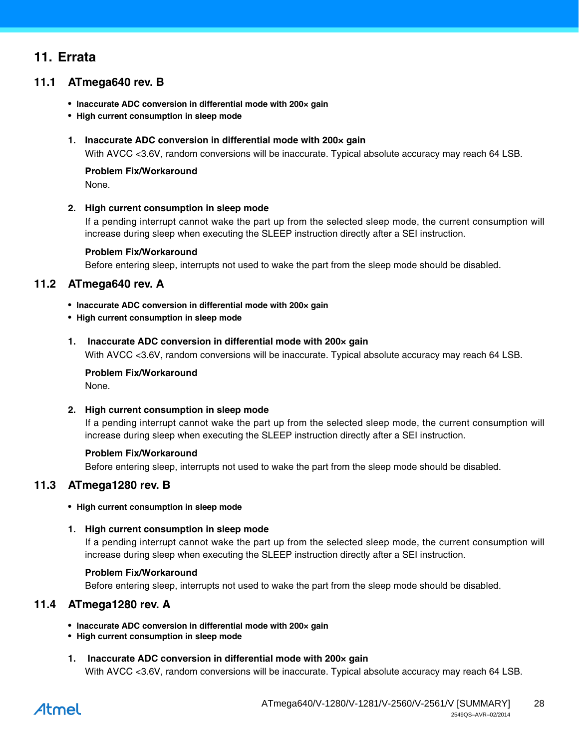# **11. Errata**

## **11.1 ATmega640 rev. B**

- **Inaccurate ADC conversion in differential mode with 200× gain**
- **High current consumption in sleep mode**

#### **1. Inaccurate ADC conversion in differential mode with 200× gain**

With AVCC <3.6V, random conversions will be inaccurate. Typical absolute accuracy may reach 64 LSB.

**Problem Fix/Workaround** None.

#### **2. High current consumption in sleep mode**

If a pending interrupt cannot wake the part up from the selected sleep mode, the current consumption will increase during sleep when executing the SLEEP instruction directly after a SEI instruction.

#### **Problem Fix/Workaround**

Before entering sleep, interrupts not used to wake the part from the sleep mode should be disabled.

## **11.2 ATmega640 rev. A**

- **Inaccurate ADC conversion in differential mode with 200× gain**
- **High current consumption in sleep mode**

#### **1. Inaccurate ADC conversion in differential mode with 200× gain**

With AVCC <3.6V, random conversions will be inaccurate. Typical absolute accuracy may reach 64 LSB.

## **Problem Fix/Workaround**

None.

#### **2. High current consumption in sleep mode**

If a pending interrupt cannot wake the part up from the selected sleep mode, the current consumption will increase during sleep when executing the SLEEP instruction directly after a SEI instruction.

#### **Problem Fix/Workaround**

Before entering sleep, interrupts not used to wake the part from the sleep mode should be disabled.

## **11.3 ATmega1280 rev. B**

#### • **High current consumption in sleep mode**

#### **1. High current consumption in sleep mode**

If a pending interrupt cannot wake the part up from the selected sleep mode, the current consumption will increase during sleep when executing the SLEEP instruction directly after a SEI instruction.

#### **Problem Fix/Workaround**

Before entering sleep, interrupts not used to wake the part from the sleep mode should be disabled.

## **11.4 ATmega1280 rev. A**

- **Inaccurate ADC conversion in differential mode with 200× gain**
- **High current consumption in sleep mode**
- **1. Inaccurate ADC conversion in differential mode with 200× gain** With AVCC <3.6V, random conversions will be inaccurate. Typical absolute accuracy may reach 64 LSB.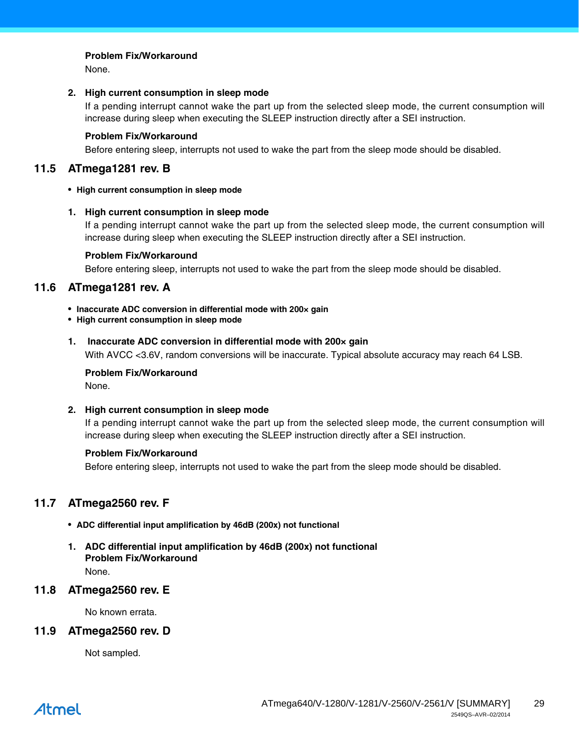#### **Problem Fix/Workaround**

None.

#### **2. High current consumption in sleep mode**

If a pending interrupt cannot wake the part up from the selected sleep mode, the current consumption will increase during sleep when executing the SLEEP instruction directly after a SEI instruction.

#### **Problem Fix/Workaround**

Before entering sleep, interrupts not used to wake the part from the sleep mode should be disabled.

## **11.5 ATmega1281 rev. B**

#### • **High current consumption in sleep mode**

#### **1. High current consumption in sleep mode**

If a pending interrupt cannot wake the part up from the selected sleep mode, the current consumption will increase during sleep when executing the SLEEP instruction directly after a SEI instruction.

#### **Problem Fix/Workaround**

Before entering sleep, interrupts not used to wake the part from the sleep mode should be disabled.

## **11.6 ATmega1281 rev. A**

- **Inaccurate ADC conversion in differential mode with 200× gain**
- **High current consumption in sleep mode**
- **1. Inaccurate ADC conversion in differential mode with 200× gain**

With AVCC <3.6V, random conversions will be inaccurate. Typical absolute accuracy may reach 64 LSB.

#### **Problem Fix/Workaround**

None.

#### **2. High current consumption in sleep mode**

If a pending interrupt cannot wake the part up from the selected sleep mode, the current consumption will increase during sleep when executing the SLEEP instruction directly after a SEI instruction.

#### **Problem Fix/Workaround**

Before entering sleep, interrupts not used to wake the part from the sleep mode should be disabled.

## **11.7 ATmega2560 rev. F**

- **ADC differential input amplification by 46dB (200x) not functional**
- **1. ADC differential input amplification by 46dB (200x) not functional Problem Fix/Workaround** None.

#### **11.8 ATmega2560 rev. E**

No known errata.

#### **11.9 ATmega2560 rev. D**

Not sampled.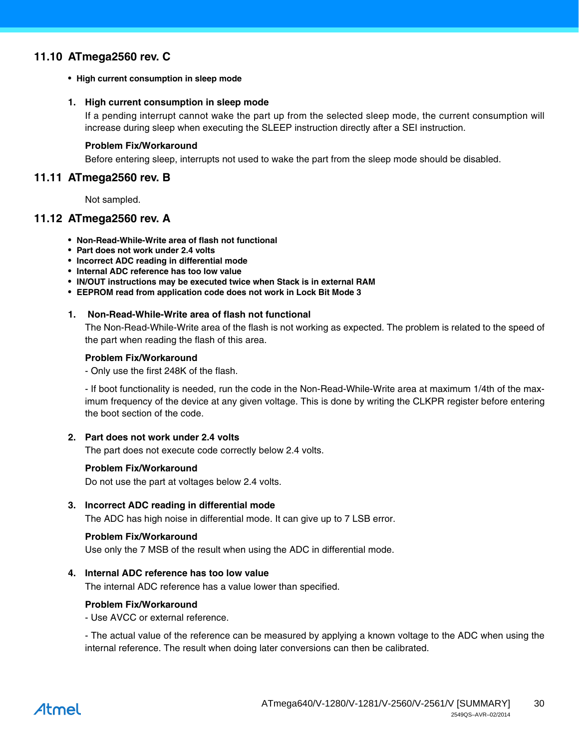## **11.10 ATmega2560 rev. C**

#### • **High current consumption in sleep mode**

#### **1. High current consumption in sleep mode**

If a pending interrupt cannot wake the part up from the selected sleep mode, the current consumption will increase during sleep when executing the SLEEP instruction directly after a SEI instruction.

#### **Problem Fix/Workaround**

Before entering sleep, interrupts not used to wake the part from the sleep mode should be disabled.

#### **11.11 ATmega2560 rev. B**

Not sampled.

#### **11.12 ATmega2560 rev. A**

- **Non-Read-While-Write area of flash not functional**
- **Part does not work under 2.4 volts**
- **Incorrect ADC reading in differential mode**
- **Internal ADC reference has too low value**
- **IN/OUT instructions may be executed twice when Stack is in external RAM**
- **EEPROM read from application code does not work in Lock Bit Mode 3**

#### **1. Non-Read-While-Write area of flash not functional**

The Non-Read-While-Write area of the flash is not working as expected. The problem is related to the speed of the part when reading the flash of this area.

#### **Problem Fix/Workaround**

- Only use the first 248K of the flash.

- If boot functionality is needed, run the code in the Non-Read-While-Write area at maximum 1/4th of the maximum frequency of the device at any given voltage. This is done by writing the CLKPR register before entering the boot section of the code.

#### **2. Part does not work under 2.4 volts**

The part does not execute code correctly below 2.4 volts.

#### **Problem Fix/Workaround**

Do not use the part at voltages below 2.4 volts.

#### **3. Incorrect ADC reading in differential mode**

The ADC has high noise in differential mode. It can give up to 7 LSB error.

#### **Problem Fix/Workaround**

Use only the 7 MSB of the result when using the ADC in differential mode.

#### **4. Internal ADC reference has too low value**

The internal ADC reference has a value lower than specified.

#### **Problem Fix/Workaround**

- Use AVCC or external reference.

- The actual value of the reference can be measured by applying a known voltage to the ADC when using the internal reference. The result when doing later conversions can then be calibrated.

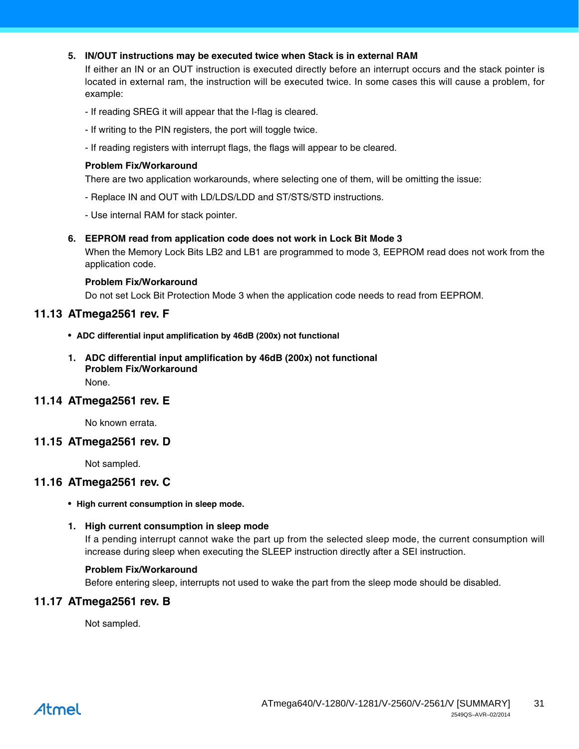#### **5. IN/OUT instructions may be executed twice when Stack is in external RAM**

If either an IN or an OUT instruction is executed directly before an interrupt occurs and the stack pointer is located in external ram, the instruction will be executed twice. In some cases this will cause a problem, for example:

- If reading SREG it will appear that the I-flag is cleared.
- If writing to the PIN registers, the port will toggle twice.
- If reading registers with interrupt flags, the flags will appear to be cleared.

#### **Problem Fix/Workaround**

There are two application workarounds, where selecting one of them, will be omitting the issue:

- Replace IN and OUT with LD/LDS/LDD and ST/STS/STD instructions.
- Use internal RAM for stack pointer.

#### **6. EEPROM read from application code does not work in Lock Bit Mode 3**

When the Memory Lock Bits LB2 and LB1 are programmed to mode 3, EEPROM read does not work from the application code.

#### **Problem Fix/Workaround**

Do not set Lock Bit Protection Mode 3 when the application code needs to read from EEPROM.

### **11.13 ATmega2561 rev. F**

- **ADC differential input amplification by 46dB (200x) not functional**
- **1. ADC differential input amplification by 46dB (200x) not functional Problem Fix/Workaround** None.

## **11.14 ATmega2561 rev. E**

No known errata.

## **11.15 ATmega2561 rev. D**

Not sampled.

## **11.16 ATmega2561 rev. C**

• **High current consumption in sleep mode.**

#### **1. High current consumption in sleep mode**

If a pending interrupt cannot wake the part up from the selected sleep mode, the current consumption will increase during sleep when executing the SLEEP instruction directly after a SEI instruction.

#### **Problem Fix/Workaround**

Before entering sleep, interrupts not used to wake the part from the sleep mode should be disabled.

## **11.17 ATmega2561 rev. B**

Not sampled.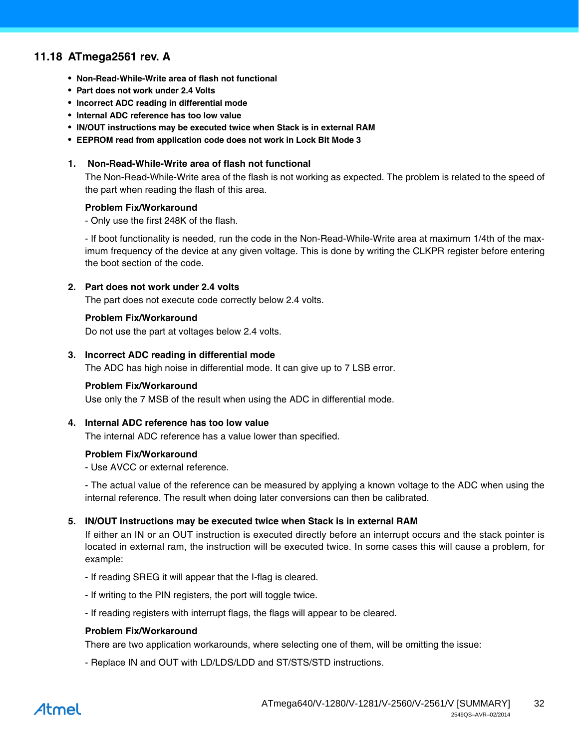## **11.18 ATmega2561 rev. A**

- **Non-Read-While-Write area of flash not functional**
- **Part does not work under 2.4 Volts**
- **Incorrect ADC reading in differential mode**
- **Internal ADC reference has too low value**
- **IN/OUT instructions may be executed twice when Stack is in external RAM**
- **EEPROM read from application code does not work in Lock Bit Mode 3**

#### **1. Non-Read-While-Write area of flash not functional**

The Non-Read-While-Write area of the flash is not working as expected. The problem is related to the speed of the part when reading the flash of this area.

#### **Problem Fix/Workaround**

- Only use the first 248K of the flash.

- If boot functionality is needed, run the code in the Non-Read-While-Write area at maximum 1/4th of the maximum frequency of the device at any given voltage. This is done by writing the CLKPR register before entering the boot section of the code.

#### **2. Part does not work under 2.4 volts**

The part does not execute code correctly below 2.4 volts.

#### **Problem Fix/Workaround**

Do not use the part at voltages below 2.4 volts.

#### **3. Incorrect ADC reading in differential mode**

The ADC has high noise in differential mode. It can give up to 7 LSB error.

#### **Problem Fix/Workaround**

Use only the 7 MSB of the result when using the ADC in differential mode.

#### **4. Internal ADC reference has too low value**

The internal ADC reference has a value lower than specified.

#### **Problem Fix/Workaround**

- Use AVCC or external reference.

- The actual value of the reference can be measured by applying a known voltage to the ADC when using the internal reference. The result when doing later conversions can then be calibrated.

#### **5. IN/OUT instructions may be executed twice when Stack is in external RAM**

If either an IN or an OUT instruction is executed directly before an interrupt occurs and the stack pointer is located in external ram, the instruction will be executed twice. In some cases this will cause a problem, for example:

- If reading SREG it will appear that the I-flag is cleared.
- If writing to the PIN registers, the port will toggle twice.
- If reading registers with interrupt flags, the flags will appear to be cleared.

#### **Problem Fix/Workaround**

There are two application workarounds, where selecting one of them, will be omitting the issue:

- Replace IN and OUT with LD/LDS/LDD and ST/STS/STD instructions.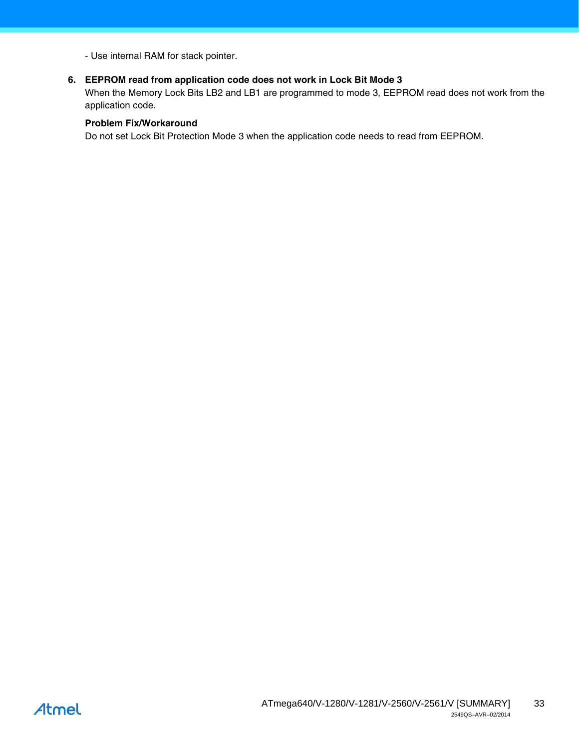- Use internal RAM for stack pointer.

#### **6. EEPROM read from application code does not work in Lock Bit Mode 3**

When the Memory Lock Bits LB2 and LB1 are programmed to mode 3, EEPROM read does not work from the application code.

#### **Problem Fix/Workaround**

Do not set Lock Bit Protection Mode 3 when the application code needs to read from EEPROM.